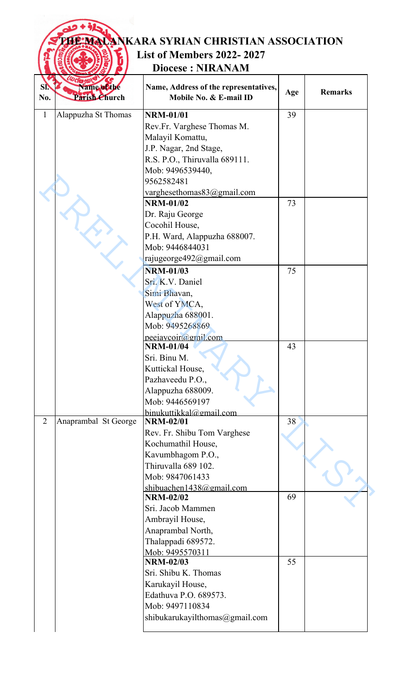|                                            | <b>FEMALANKARA SYRIAN CHRISTIAN ASSOCIATION</b><br><b>List of Members 2022-2027</b><br><b>Diocese: NIRANAM</b>                                                                                |     |                |
|--------------------------------------------|-----------------------------------------------------------------------------------------------------------------------------------------------------------------------------------------------|-----|----------------|
| Name of the<br>SI.<br>Parish Church<br>No. | Name, Address of the representatives,<br>Mobile No. & E-mail ID                                                                                                                               | Age | <b>Remarks</b> |
| 1<br>Alappuzha St Thomas                   | <b>NRM-01/01</b><br>Rev.Fr. Varghese Thomas M.<br>Malayil Komattu,<br>J.P. Nagar, 2nd Stage,<br>R.S. P.O., Thiruvalla 689111.<br>Mob: 9496539440,<br>9562582481<br>varghesethomas83@gmail.com | 39  |                |
|                                            | <b>NRM-01/02</b><br>Dr. Raju George<br>Cocohil House,<br>P.H. Ward, Alappuzha 688007.<br>Mob: 9446844031<br>rajugeorge492@gmail.com                                                           | 73  |                |
|                                            | <b>NRM-01/03</b><br>Sri. K.V. Daniel<br>Simi Bhavan,<br>West of YMCA,<br>Alappuzha 688001.<br>Mob: 9495268869<br>peeiavcoir@gmil.com                                                          | 75  |                |
|                                            | <b>NRM-01/04</b><br>Sri. Binu M.<br>Kuttickal House,<br>Pazhaveedu P.O.,<br>Alappuzha 688009.<br>Mob: 9446569197<br>binukuttikkal@gmail.com                                                   | 43  |                |
| $\overline{2}$<br>Anaprambal St George     | <b>NRM-02/01</b><br>Rev. Fr. Shibu Tom Varghese<br>Kochumathil House,<br>Kavumbhagom P.O.,<br>Thiruvalla 689 102.<br>Mob: 9847061433<br>shibuachen1438@gmail.com                              | 38  |                |
|                                            | <b>NRM-02/02</b><br>Sri. Jacob Mammen<br>Ambrayil House,<br>Anaprambal North,<br>Thalappadi 689572.<br>Mob: 9495570311                                                                        | 69  |                |
|                                            | <b>NRM-02/03</b><br>Sri. Shibu K. Thomas<br>Karukayil House,<br>Edathuva P.O. 689573.<br>Mob: 9497110834<br>shibukarukayilthomas@gmail.com                                                    | 55  |                |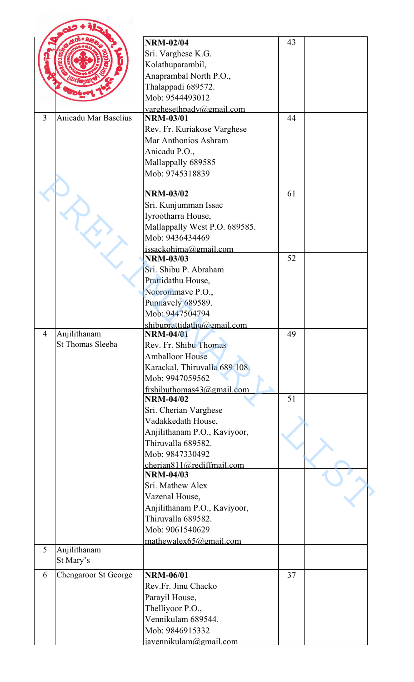|                |                             | <b>NRM-02/04</b>                              | 43 |  |
|----------------|-----------------------------|-----------------------------------------------|----|--|
|                |                             | Sri. Varghese K.G.                            |    |  |
|                |                             | Kolathuparambil,                              |    |  |
|                |                             | Anaprambal North P.O.,                        |    |  |
|                |                             | Thalappadi 689572.                            |    |  |
|                |                             | Mob: 9544493012                               |    |  |
|                |                             | varghesethpady@gmail.com                      |    |  |
| 3              | <b>Anicadu Mar Baselius</b> | <b>NRM-03/01</b>                              | 44 |  |
|                |                             | Rev. Fr. Kuriakose Varghese                   |    |  |
|                |                             | Mar Anthonios Ashram                          |    |  |
|                |                             | Anicadu P.O.,                                 |    |  |
|                |                             | Mallappally 689585                            |    |  |
|                |                             | Mob: 9745318839                               |    |  |
|                |                             |                                               |    |  |
|                |                             | <b>NRM-03/02</b>                              | 61 |  |
|                |                             | Sri. Kunjumman Issac                          |    |  |
|                |                             | Iyrootharra House,                            |    |  |
|                |                             | Mallappally West P.O. 689585.                 |    |  |
|                |                             | Mob: 9436434469                               |    |  |
|                |                             | issackohima@gmail.com<br><b>NRM-03/03</b>     | 52 |  |
|                |                             | Sri. Shibu P. Abraham                         |    |  |
|                |                             | Prattidathu House,                            |    |  |
|                |                             | Noorommave P.O.,                              |    |  |
|                |                             | Punnavely 689589.                             |    |  |
|                |                             | Mob: 9447504794                               |    |  |
|                |                             | shibuprattidathu@gmail.com                    |    |  |
| $\overline{4}$ | Anjilithanam                | <b>NRM-04/01</b>                              | 49 |  |
|                | St Thomas Sleeba            | Rev. Fr. Shibu Thomas                         |    |  |
|                |                             | <b>Amballoor House</b>                        |    |  |
|                |                             | Karackal, Thiruvalla 689 108.                 |    |  |
|                |                             | Mob: 9947059562                               |    |  |
|                |                             | frshibuthomas $43$ @gmail.com                 |    |  |
|                |                             | <b>NRM-04/02</b>                              | 51 |  |
|                |                             | Sri. Cherian Varghese                         |    |  |
|                |                             | Vadakkedath House,                            |    |  |
|                |                             | Anjilithanam P.O., Kaviyoor,                  |    |  |
|                |                             | Thiruvalla 689582.                            |    |  |
|                |                             | Mob: 9847330492                               |    |  |
|                |                             | cherian811@rediffmail.com<br><b>NRM-04/03</b> |    |  |
|                |                             | Sri. Mathew Alex                              |    |  |
|                |                             | Vazenal House,                                |    |  |
|                |                             | Anjilithanam P.O., Kaviyoor,                  |    |  |
|                |                             | Thiruvalla 689582.                            |    |  |
|                |                             | Mob: 9061540629                               |    |  |
|                |                             | mathewalex $65$ @gmail.com                    |    |  |
| 5              | Anjilithanam                |                                               |    |  |
|                | St Mary's                   |                                               |    |  |
| 6              | <b>Chengaroor St George</b> | <b>NRM-06/01</b>                              | 37 |  |
|                |                             | Rev.Fr. Jinu Chacko                           |    |  |
|                |                             | Parayil House,                                |    |  |
|                |                             | Thelliyoor P.O.,                              |    |  |
|                |                             | Vennikulam 689544.                            |    |  |
|                |                             | Mob: 9846915332                               |    |  |
|                |                             | javennikulam@gmail.com                        |    |  |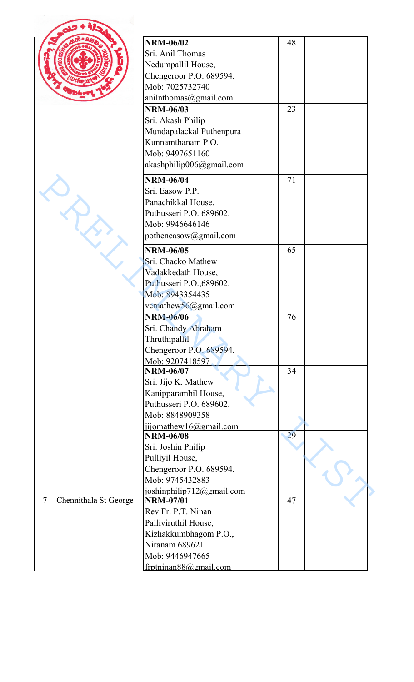|                          |                       | <b>NRM-06/02</b>                              | 48 |  |
|--------------------------|-----------------------|-----------------------------------------------|----|--|
|                          |                       | Sri. Anil Thomas                              |    |  |
|                          |                       | Nedumpallil House,                            |    |  |
|                          |                       | Chengeroor P.O. 689594.                       |    |  |
|                          |                       | Mob: 7025732740                               |    |  |
|                          |                       | anilnthomas@gmail.com                         |    |  |
|                          |                       | <b>NRM-06/03</b>                              | 23 |  |
|                          |                       | Sri. Akash Philip                             |    |  |
|                          |                       | Mundapalackal Puthenpura                      |    |  |
|                          |                       | Kunnamthanam P.O.                             |    |  |
|                          |                       | Mob: 9497651160                               |    |  |
|                          |                       |                                               |    |  |
|                          |                       | akashphilip006@gmail.com                      |    |  |
|                          |                       | <b>NRM-06/04</b>                              | 71 |  |
|                          |                       | Sri. Easow P.P.                               |    |  |
|                          |                       | Panachikkal House,                            |    |  |
|                          |                       | Puthusseri P.O. 689602.                       |    |  |
|                          |                       | Mob: 9946646146                               |    |  |
|                          |                       | potheneasow@gmail.com                         |    |  |
|                          |                       | <b>NRM-06/05</b>                              | 65 |  |
|                          |                       | Sri. Chacko Mathew                            |    |  |
|                          |                       | Vadakkedath House,                            |    |  |
|                          |                       | Puthusseri P.O., 689602.                      |    |  |
|                          |                       | Mob: 8943354435                               |    |  |
|                          |                       | vcmathew56@gmail.com                          |    |  |
|                          |                       | <b>NRM-06/06</b>                              | 76 |  |
|                          |                       | Sri. Chandy Abraham                           |    |  |
|                          |                       | Thruthipallil                                 |    |  |
|                          |                       | Chengeroor P.O. 689594.                       |    |  |
|                          |                       |                                               |    |  |
|                          |                       | Mob: 9207418597<br><b>NRM-06/07</b>           | 34 |  |
|                          |                       | Sri. Jijo K. Mathew                           |    |  |
|                          |                       | Kanipparambil House,                          |    |  |
|                          |                       | Puthusseri P.O. 689602.                       |    |  |
|                          |                       | Mob: 8848909358                               |    |  |
|                          |                       |                                               |    |  |
|                          |                       | jijomathew16@gmail.com<br><b>NRM-06/08</b>    | 29 |  |
|                          |                       | Sri. Joshin Philip                            |    |  |
|                          |                       | Pulliyil House,                               |    |  |
|                          |                       |                                               |    |  |
|                          |                       | Chengeroor P.O. 689594.<br>Mob: 9745432883    |    |  |
|                          |                       |                                               |    |  |
| $\overline{\mathcal{L}}$ | Chennithala St George | ioshinphilip712@gmail.com<br><b>NRM-07/01</b> | 47 |  |
|                          |                       | Rev Fr. P.T. Ninan                            |    |  |
|                          |                       | Palliviruthil House,                          |    |  |
|                          |                       | Kizhakkumbhagom P.O.,                         |    |  |
|                          |                       | Niranam 689621.                               |    |  |
|                          |                       | Mob: 9446947665                               |    |  |
|                          |                       |                                               |    |  |
|                          |                       | frptninan88@gmail.com                         |    |  |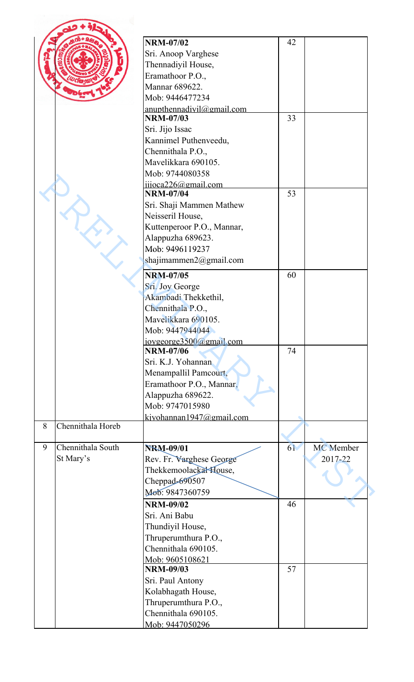|   |                   | <b>NRM-07/02</b>                              | 42 |                  |
|---|-------------------|-----------------------------------------------|----|------------------|
|   |                   |                                               |    |                  |
|   |                   | Sri. Anoop Varghese                           |    |                  |
|   |                   | Thennadiyil House,                            |    |                  |
|   |                   | Eramathoor P.O.,                              |    |                  |
|   |                   | Mannar 689622.                                |    |                  |
|   |                   | Mob: 9446477234                               |    |                  |
|   |                   | anupthennadivil@gmail.com<br><b>NRM-07/03</b> | 33 |                  |
|   |                   |                                               |    |                  |
|   |                   | Sri. Jijo Issac                               |    |                  |
|   |                   | Kannimel Puthenveedu,                         |    |                  |
|   |                   | Chennithala P.O.,                             |    |                  |
|   |                   | Mavelikkara 690105.                           |    |                  |
|   |                   | Mob: 9744080358                               |    |                  |
|   |                   | $ijijoca226$ @gmail.com<br><b>NRM-07/04</b>   | 53 |                  |
|   |                   | Sri. Shaji Mammen Mathew                      |    |                  |
|   |                   |                                               |    |                  |
|   |                   | Neisseril House,                              |    |                  |
|   |                   | Kuttenperoor P.O., Mannar,                    |    |                  |
|   |                   | Alappuzha 689623.                             |    |                  |
|   |                   | Mob: 9496119237                               |    |                  |
|   |                   | shajimammen2@gmail.com                        |    |                  |
|   |                   | <b>NRM-07/05</b>                              | 60 |                  |
|   |                   | Sri. Joy George                               |    |                  |
|   |                   | Akambadi Thekkethil,                          |    |                  |
|   |                   | Chennithala P.O.,                             |    |                  |
|   |                   | Mavelikkara 690105.                           |    |                  |
|   |                   | Mob: 9447944044                               |    |                  |
|   |                   | jovgeorge3500@gmail.com                       |    |                  |
|   |                   | <b>NRM-07/06</b>                              | 74 |                  |
|   |                   | Sri. K.J. Yohannan                            |    |                  |
|   |                   | Menampallil Pamcourt,                         |    |                  |
|   |                   | Eramathoor P.O., Mannar,                      |    |                  |
|   |                   | Alappuzha 689622.                             |    |                  |
|   |                   | Mob: 9747015980                               |    |                  |
|   |                   | kjyohannan1947@gmail.com                      |    |                  |
| 8 | Chennithala Horeb |                                               |    |                  |
|   |                   |                                               |    |                  |
| 9 | Chennithala South | <b>NRM-09/01</b>                              | 61 | <b>MC</b> Member |
|   | St Mary's         | Rev. Fr. Varghese George                      |    | 2017-22          |
|   |                   | Thekkemoolackal House,                        |    |                  |
|   |                   | Cheppad-690507                                |    |                  |
|   |                   | Моб: 9847360759                               |    |                  |
|   |                   | <b>NRM-09/02</b>                              | 46 |                  |
|   |                   | Sri. Ani Babu                                 |    |                  |
|   |                   | Thundiyil House,                              |    |                  |
|   |                   | Thruperumthura P.O.,                          |    |                  |
|   |                   | Chennithala 690105.                           |    |                  |
|   |                   | Mob: 9605108621                               |    |                  |
|   |                   | <b>NRM-09/03</b>                              | 57 |                  |
|   |                   | Sri. Paul Antony                              |    |                  |
|   |                   | Kolabhagath House,                            |    |                  |
|   |                   | Thruperumthura P.O.,                          |    |                  |
|   |                   | Chennithala 690105.                           |    |                  |
|   |                   | Mob: 9447050296                               |    |                  |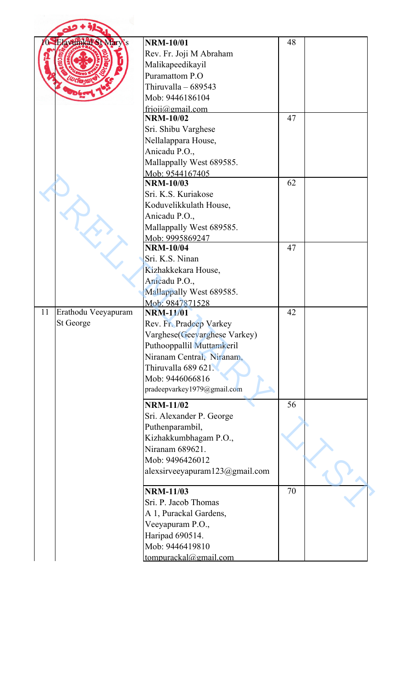|    | <b>Avunka SI Mary's</b> | <b>NRM-10/01</b>                     | 48 |  |
|----|-------------------------|--------------------------------------|----|--|
|    |                         | Rev. Fr. Joji M Abraham              |    |  |
|    |                         |                                      |    |  |
|    |                         | Malikapeedikayil<br>Puramattom P.O   |    |  |
|    |                         |                                      |    |  |
|    |                         | Thiruvalla $-689543$                 |    |  |
|    |                         | Mob: 9446186104                      |    |  |
|    |                         | frioji@gmail.com<br><b>NRM-10/02</b> | 47 |  |
|    |                         |                                      |    |  |
|    |                         | Sri. Shibu Varghese                  |    |  |
|    |                         | Nellalappara House,                  |    |  |
|    |                         | Anicadu P.O.,                        |    |  |
|    |                         | Mallappally West 689585.             |    |  |
|    |                         | Mob: 9544167405                      |    |  |
|    |                         | <b>NRM-10/03</b>                     | 62 |  |
|    |                         | Sri. K.S. Kuriakose                  |    |  |
|    |                         | Koduvelikkulath House,               |    |  |
|    |                         | Anicadu P.O.,                        |    |  |
|    |                         | Mallappally West 689585.             |    |  |
|    |                         | Mob: 9995869247                      |    |  |
|    |                         | <b>NRM-10/04</b>                     | 47 |  |
|    |                         | Sri. K.S. Ninan                      |    |  |
|    |                         | Kizhakkekara House,                  |    |  |
|    |                         | Anicadu P.O.,                        |    |  |
|    |                         | Mallappally West 689585.             |    |  |
|    |                         | Mob: 9847871528                      |    |  |
| 11 | Erathodu Veeyapuram     | <b>NRM-11/01</b>                     | 42 |  |
|    | St George               | Rev. Fr. Pradeep Varkey              |    |  |
|    |                         | Varghese(Geevarghese Varkey)         |    |  |
|    |                         | Puthooppallil Muttamkeril            |    |  |
|    |                         | Niranam Central, Niranam,            |    |  |
|    |                         | Thiruvalla 689 621.                  |    |  |
|    |                         | Mob: 9446066816                      |    |  |
|    |                         | pradeepvarkey1979@gmail.com          |    |  |
|    |                         | <b>NRM-11/02</b>                     | 56 |  |
|    |                         | Sri. Alexander P. George             |    |  |
|    |                         | Puthenparambil,                      |    |  |
|    |                         | Kizhakkumbhagam P.O.,                |    |  |
|    |                         | Niranam 689621.                      |    |  |
|    |                         | Mob: 9496426012                      |    |  |
|    |                         | alexsirveeyapuram $123$ @gmail.com   |    |  |
|    |                         |                                      |    |  |
|    |                         | <b>NRM-11/03</b>                     | 70 |  |
|    |                         | Sri. P. Jacob Thomas                 |    |  |
|    |                         | A 1, Purackal Gardens,               |    |  |
|    |                         | Veeyapuram P.O.,                     |    |  |
|    |                         | Haripad 690514.                      |    |  |
|    |                         | Mob: 9446419810                      |    |  |
|    |                         | tompurackal@gmail.com                |    |  |
|    |                         |                                      |    |  |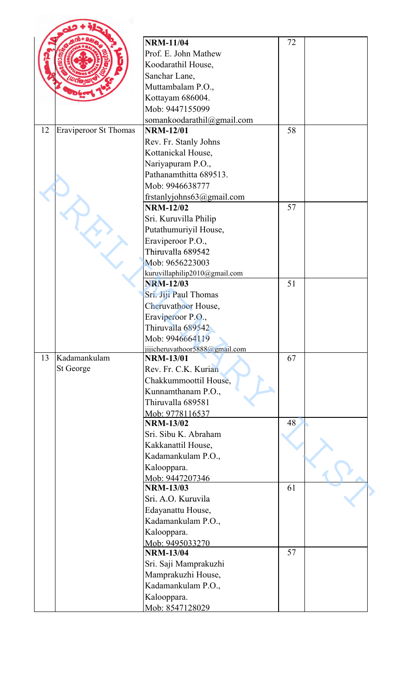|    |                              | <b>NRM-11/04</b>               | 72 |  |
|----|------------------------------|--------------------------------|----|--|
|    |                              | Prof. E. John Mathew           |    |  |
|    |                              | Koodarathil House,             |    |  |
|    |                              | Sanchar Lane,                  |    |  |
|    |                              | Muttambalam P.O.,              |    |  |
|    |                              | Kottayam 686004.               |    |  |
|    |                              | Mob: 9447155099                |    |  |
|    |                              | somankoodarathil@gmail.com     |    |  |
| 12 | <b>Eraviperoor St Thomas</b> | <b>NRM-12/01</b>               | 58 |  |
|    |                              | Rev. Fr. Stanly Johns          |    |  |
|    |                              | Kottanickal House,             |    |  |
|    |                              |                                |    |  |
|    |                              | Nariyapuram P.O.,              |    |  |
|    |                              | Pathanamthitta 689513.         |    |  |
|    |                              | Mob: 9946638777                |    |  |
|    |                              | frstanlyjohns63@gmail.com      |    |  |
|    |                              | <b>NRM-12/02</b>               | 57 |  |
|    |                              | Sri. Kuruvilla Philip          |    |  |
|    |                              | Putathumuriyil House,          |    |  |
|    |                              | Eraviperoor P.O.,              |    |  |
|    |                              | Thiruvalla 689542              |    |  |
|    |                              | Mob: 9656223003                |    |  |
|    |                              | kuruvillaphilip2010@gmail.com  |    |  |
|    |                              | <b>NRM-12/03</b>               | 51 |  |
|    |                              | Sri. Jiji Paul Thomas          |    |  |
|    |                              | Cheruvathoor House,            |    |  |
|    |                              | Eraviperoor P.O.,              |    |  |
|    |                              | Thiruvalla 689542              |    |  |
|    |                              | Mob: 9946664119                |    |  |
|    |                              | jijicheruvathoor5888@gmail.com |    |  |
| 13 | Kadamankulam                 | <b>NRM-13/01</b>               | 67 |  |
|    | St George                    | Rev. Fr. C.K. Kurian           |    |  |
|    |                              | Chakkummoottil House,          |    |  |
|    |                              | Kunnamthanam P.O.,             |    |  |
|    |                              | Thiruvalla 689581              |    |  |
|    |                              | Mob: 9778116537                |    |  |
|    |                              | <b>NRM-13/02</b>               | 48 |  |
|    |                              | Sri. Sibu K. Abraham           |    |  |
|    |                              | Kakkanattil House,             |    |  |
|    |                              | Kadamankulam P.O.,             |    |  |
|    |                              | Kalooppara.                    |    |  |
|    |                              | Mob: 9447207346                |    |  |
|    |                              | <b>NRM-13/03</b>               | 61 |  |
|    |                              | Sri. A.O. Kuruvila             |    |  |
|    |                              | Edayanattu House,              |    |  |
|    |                              | Kadamankulam P.O.,             |    |  |
|    |                              | Kalooppara.                    |    |  |
|    |                              | Mob: 9495033270                |    |  |
|    |                              | <b>NRM-13/04</b>               | 57 |  |
|    |                              | Sri. Saji Mamprakuzhi          |    |  |
|    |                              | Mamprakuzhi House,             |    |  |
|    |                              | Kadamankulam P.O.,             |    |  |
|    |                              | Kalooppara.                    |    |  |
|    |                              | Mob: 8547128029                |    |  |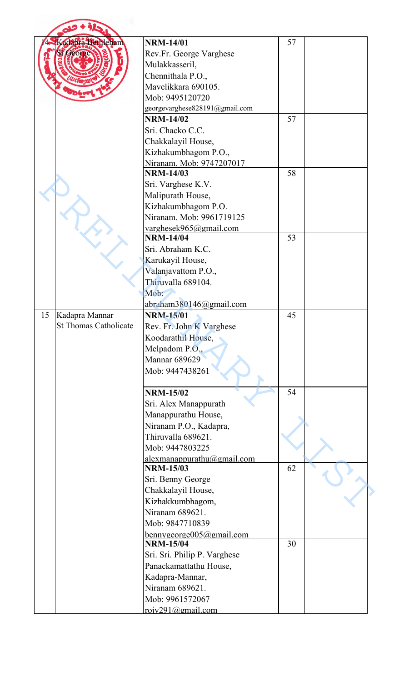|    | Kadapra Bethleham            | <b>NRM-14/01</b>                             | 57 |  |
|----|------------------------------|----------------------------------------------|----|--|
|    |                              | Rev.Fr. George Varghese                      |    |  |
|    |                              |                                              |    |  |
|    |                              | Mulakkasseril,                               |    |  |
|    |                              | Chennithala P.O.,                            |    |  |
|    |                              | Mavelikkara 690105.                          |    |  |
|    |                              | Mob: 9495120720                              |    |  |
|    |                              | georgevarghese828191@gmail.com               |    |  |
|    |                              | <b>NRM-14/02</b>                             | 57 |  |
|    |                              | Sri. Chacko C.C.                             |    |  |
|    |                              | Chakkalayil House,                           |    |  |
|    |                              | Kizhakumbhagom P.O.,                         |    |  |
|    |                              | Niranam. Mob: 9747207017                     |    |  |
|    |                              | <b>NRM-14/03</b>                             | 58 |  |
|    |                              | Sri. Varghese K.V.                           |    |  |
|    |                              | Malipurath House,                            |    |  |
|    |                              | Kizhakumbhagom P.O.                          |    |  |
|    |                              | Niranam. Mob: 9961719125                     |    |  |
|    |                              | varghesek965@gmail.com                       |    |  |
|    |                              | <b>NRM-14/04</b>                             | 53 |  |
|    |                              | Sri. Abraham K.C.                            |    |  |
|    |                              | Karukayil House,                             |    |  |
|    |                              | Valanjavattom P.O.,                          |    |  |
|    |                              | Thiruvalla 689104.                           |    |  |
|    |                              | Mob:                                         |    |  |
|    |                              | abraham380146@gmail.com                      |    |  |
| 15 | Kadapra Mannar               | <b>NRM-15/01</b>                             | 45 |  |
|    | <b>St Thomas Catholicate</b> | Rev. Fr. John K Varghese                     |    |  |
|    |                              | Koodarathil House,                           |    |  |
|    |                              | Melpadom P.O.,                               |    |  |
|    |                              | <b>Mannar 689629</b>                         |    |  |
|    |                              | Mob: 9447438261                              |    |  |
|    |                              |                                              |    |  |
|    |                              | <b>NRM-15/02</b>                             | 54 |  |
|    |                              | Sri. Alex Manappurath                        |    |  |
|    |                              | Manappurathu House,                          |    |  |
|    |                              | Niranam P.O., Kadapra,                       |    |  |
|    |                              | Thiruvalla 689621.                           |    |  |
|    |                              | Mob: 9447803225                              |    |  |
|    |                              | alexmanappurathu@gmail.com                   |    |  |
|    |                              | <b>NRM-15/03</b>                             | 62 |  |
|    |                              | Sri. Benny George                            |    |  |
|    |                              | Chakkalayil House,                           |    |  |
|    |                              | Kizhakkumbhagom,                             |    |  |
|    |                              | Niranam 689621.                              |    |  |
|    |                              | Mob: 9847710839                              |    |  |
|    |                              |                                              |    |  |
|    |                              | bennygeorge005@gmail.com<br><b>NRM-15/04</b> | 30 |  |
|    |                              |                                              |    |  |
|    |                              | Sri. Sri. Philip P. Varghese                 |    |  |
|    |                              | Panackamattathu House,                       |    |  |
|    |                              | Kadapra-Mannar,                              |    |  |
|    |                              | Niranam 689621.                              |    |  |
|    |                              | Mob: 9961572067                              |    |  |
|    |                              | roiv291@gmail.com                            |    |  |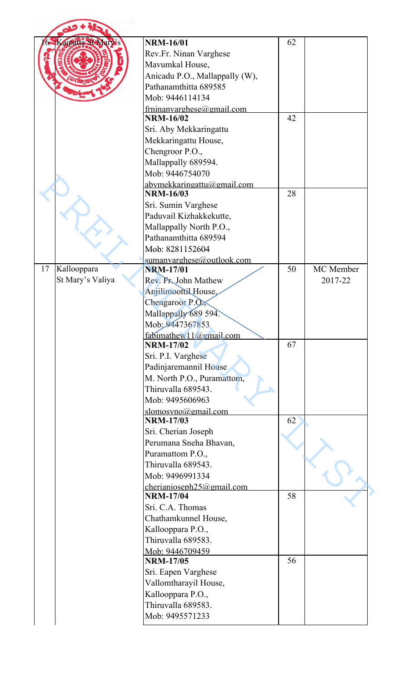| Kaipatta St Mary's | <b>NRM-16/01</b>               | 62 |           |
|--------------------|--------------------------------|----|-----------|
|                    | Rev.Fr. Ninan Varghese         |    |           |
|                    | Mavumkal House,                |    |           |
|                    | Anicadu P.O., Mallappally (W), |    |           |
|                    | Pathanamthitta 689585          |    |           |
|                    | Mob: 9446114134                |    |           |
|                    | frninanvarghese@gmail.com      |    |           |
|                    | <b>NRM-16/02</b>               | 42 |           |
|                    | Sri. Aby Mekkaringattu         |    |           |
|                    | Mekkaringattu House,           |    |           |
|                    | Chengroor P.O.,                |    |           |
|                    | Mallappally 689594.            |    |           |
|                    | Mob: 9446754070                |    |           |
|                    | abymekkaringattu@gmail.com     |    |           |
|                    | <b>NRM-16/03</b>               | 28 |           |
|                    | Sri. Sumin Varghese            |    |           |
|                    | Paduvail Kizhakkekutte,        |    |           |
|                    | Mallappally North P.O.,        |    |           |
|                    | Pathanamthitta 689594          |    |           |
|                    | Mob: 8281152604                |    |           |
|                    | sumanyarghese@outlook.com      |    |           |
| 17<br>Kallooppara  | <b>NRM-17/01</b>               | 50 | MC Member |
| St Mary's Valiya   | Rev. Fr. John Mathew           |    | 2017-22   |
|                    | Anjilimoottil House,           |    |           |
|                    | Chengaroor P.O.,               |    |           |
|                    | Mallappally 689 594.           |    |           |
|                    | Mob: 9447367853                |    |           |
|                    | fabimathew11@gmail.com         |    |           |
|                    | <b>NRM-17/02</b>               | 67 |           |
|                    | Sri. P.I. Varghese             |    |           |
|                    | Padinjaremannil House          |    |           |
|                    | M. North P.O., Puramattom,     |    |           |
|                    | Thiruvalla 689543.             |    |           |
|                    | Mob: 9495606963                |    |           |
|                    | slomosyno@gmail.com            |    |           |
|                    | <b>NRM-17/03</b>               | 62 |           |
|                    | Sri. Cherian Joseph            |    |           |
|                    | Perumana Sneha Bhavan,         |    |           |
|                    | Puramattom P.O.,               |    |           |
|                    | Thiruvalla 689543.             |    |           |
|                    | Mob: 9496991334                |    |           |
|                    | cherianioseph $25$ @gmail.com  |    |           |
|                    | <b>NRM-17/04</b>               | 58 |           |
|                    | Sri. C.A. Thomas               |    |           |
|                    | Chathamkunnel House,           |    |           |
|                    | Kallooppara P.O.,              |    |           |
|                    | Thiruvalla 689583.             |    |           |
|                    | Mob: 9446709459                |    |           |
|                    | <b>NRM-17/05</b>               | 56 |           |
|                    | Sri. Eapen Varghese            |    |           |
|                    | Vallomtharayil House,          |    |           |
|                    | Kallooppara P.O.,              |    |           |
|                    | Thiruvalla 689583.             |    |           |
|                    |                                |    |           |
|                    | Mob: 9495571233                |    |           |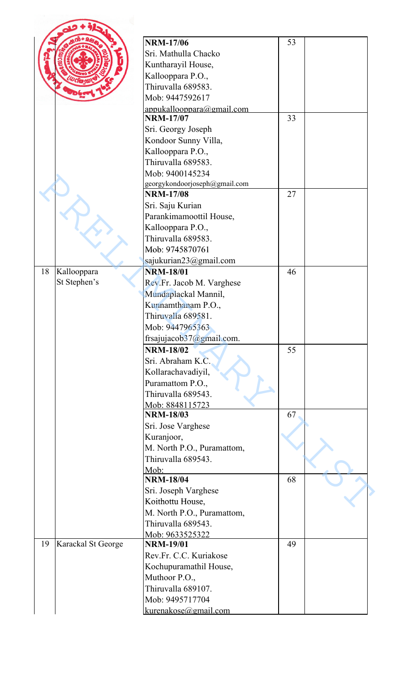|                          | <b>NRM-17/06</b>              | 53 |  |
|--------------------------|-------------------------------|----|--|
|                          | Sri. Mathulla Chacko          |    |  |
|                          | Kuntharayil House,            |    |  |
|                          | Kallooppara P.O.,             |    |  |
|                          | Thiruvalla 689583.            |    |  |
|                          | Mob: 9447592617               |    |  |
|                          | appukallooppara@gmail.com     |    |  |
|                          | <b>NRM-17/07</b>              | 33 |  |
|                          | Sri. Georgy Joseph            |    |  |
|                          | Kondoor Sunny Villa,          |    |  |
|                          | Kallooppara P.O.,             |    |  |
|                          | Thiruvalla 689583.            |    |  |
|                          | Mob: 9400145234               |    |  |
|                          | georgykondoorjoseph@gmail.com |    |  |
|                          | <b>NRM-17/08</b>              | 27 |  |
|                          | Sri. Saju Kurian              |    |  |
|                          | Parankimamoottil House,       |    |  |
|                          | Kallooppara P.O.,             |    |  |
|                          | Thiruvalla 689583.            |    |  |
|                          | Mob: 9745870761               |    |  |
|                          | sajukurian23@gmail.com        |    |  |
| 18<br>Kallooppara        | <b>NRM-18/01</b>              | 46 |  |
| St Stephen's             | Rev.Fr. Jacob M. Varghese     |    |  |
|                          | Mundaplackal Mannil,          |    |  |
|                          | Kunnamthanam P.O.,            |    |  |
|                          | Thiruvalla 689581.            |    |  |
|                          |                               |    |  |
|                          | Mob: 9447965363               |    |  |
|                          | frsajujacob37@gmail.com.      |    |  |
|                          | <b>NRM-18/02</b>              | 55 |  |
|                          | Sri. Abraham K.C.             |    |  |
|                          | Kollarachavadiyil,            |    |  |
|                          | Puramattom P.O.,              |    |  |
|                          | Thiruvalla 689543.            |    |  |
|                          | Mob: 8848115723               |    |  |
|                          | <b>NRM-18/03</b>              | 67 |  |
|                          | Sri. Jose Varghese            |    |  |
|                          | Kuranjoor,                    |    |  |
|                          | M. North P.O., Puramattom,    |    |  |
|                          | Thiruvalla 689543.            |    |  |
|                          | Mob:                          |    |  |
|                          | <b>NRM-18/04</b>              | 68 |  |
|                          | Sri. Joseph Varghese          |    |  |
|                          | Koithottu House,              |    |  |
|                          | M. North P.O., Puramattom,    |    |  |
|                          | Thiruvalla 689543.            |    |  |
|                          | Mob: 9633525322               |    |  |
| 19<br>Karackal St George | <b>NRM-19/01</b>              | 49 |  |
|                          | Rev.Fr. C.C. Kuriakose        |    |  |
|                          | Kochupuramathil House,        |    |  |
|                          | Muthoor P.O.,                 |    |  |
|                          | Thiruvalla 689107.            |    |  |
|                          | Mob: 9495717704               |    |  |
|                          | kurenakose@gmail.com          |    |  |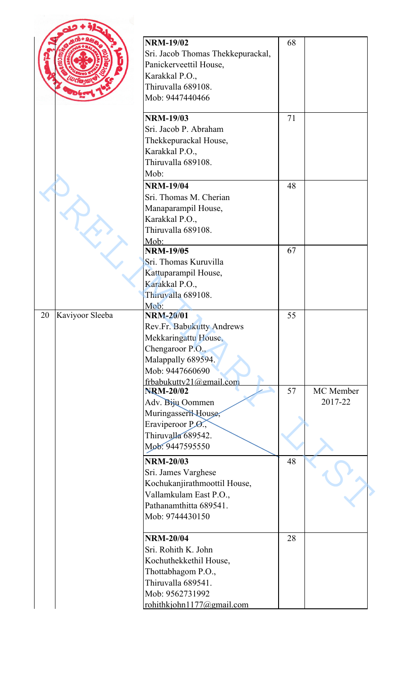|                       | <b>NRM-19/02</b><br>Sri. Jacob Thomas Thekkepurackal,<br>Panickerveettil House,<br>Karakkal P.O.,<br>Thiruvalla 689108.<br>Mob: 9447440466                    | 68 |                      |
|-----------------------|---------------------------------------------------------------------------------------------------------------------------------------------------------------|----|----------------------|
|                       | <b>NRM-19/03</b><br>Sri. Jacob P. Abraham<br>Thekkepurackal House,<br>Karakkal P.O.,<br>Thiruvalla 689108.<br>Mob:                                            | 71 |                      |
|                       | <b>NRM-19/04</b><br>Sri. Thomas M. Cherian<br>Manaparampil House,<br>Karakkal P.O.,<br>Thiruvalla 689108.<br>Mob:                                             | 48 |                      |
|                       | <b>NRM-19/05</b><br>Sri. Thomas Kuruvilla<br>Kattuparampil House,<br>Karakkal P.O.,<br>Thiruvalla 689108.<br>Mob:                                             | 67 |                      |
| Kaviyoor Sleeba<br>20 | <b>NRM-20/01</b><br>Rev.Fr. Babukutty Andrews<br>Mekkaringattu House,<br>Chengaroor P.O.,<br>Malappally 689594.<br>Mob: 9447660690<br>frbabukutty21@gmail.com | 55 |                      |
|                       | <b>NRM-20/02</b><br>Adv. Biju Oommen<br>Muringasseril House,<br>Eraviperoor P.O.,<br>Thiruvalla 689542.<br>Mob: 9447595550                                    | 57 | MC Member<br>2017-22 |
|                       | <b>NRM-20/03</b><br>Sri. James Varghese<br>Kochukanjirathmoottil House,<br>Vallamkulam East P.O.,<br>Pathanamthitta 689541.<br>Mob: 9744430150                | 48 |                      |
|                       | <b>NRM-20/04</b><br>Sri. Rohith K. John<br>Kochuthekkethil House,<br>Thottabhagom P.O.,<br>Thiruvalla 689541.<br>Mob: 9562731992<br>rohithkjohn1177@gmail.com | 28 |                      |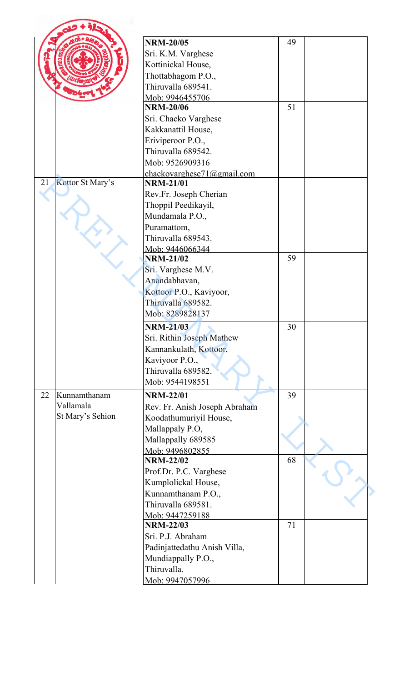|    |                  | <b>NRM-20/05</b>              | 49 |  |
|----|------------------|-------------------------------|----|--|
|    |                  | Sri. K.M. Varghese            |    |  |
|    |                  | Kottinickal House,            |    |  |
|    |                  | Thottabhagom P.O.,            |    |  |
|    |                  | Thiruvalla 689541.            |    |  |
|    |                  | Mob: 9946455706               |    |  |
|    |                  | <b>NRM-20/06</b>              | 51 |  |
|    |                  | Sri. Chacko Varghese          |    |  |
|    |                  | Kakkanattil House,            |    |  |
|    |                  | Eriviperoor P.O.,             |    |  |
|    |                  | Thiruvalla 689542.            |    |  |
|    |                  | Mob: 9526909316               |    |  |
|    |                  | chackovarghese71@gmail.com    |    |  |
| 21 | Kottor St Mary's | <b>NRM-21/01</b>              |    |  |
|    |                  | Rev.Fr. Joseph Cherian        |    |  |
|    |                  | Thoppil Peedikayil,           |    |  |
|    |                  | Mundamala P.O.,               |    |  |
|    |                  | Puramattom,                   |    |  |
|    |                  | Thiruvalla 689543.            |    |  |
|    |                  | Mob: 9446066344               |    |  |
|    |                  | <b>NRM-21/02</b>              | 59 |  |
|    |                  | Sri. Varghese M.V.            |    |  |
|    |                  | Anandabhavan,                 |    |  |
|    |                  | Kottoor P.O., Kaviyoor,       |    |  |
|    |                  | Thiruvalla 689582.            |    |  |
|    |                  | Mob: 8289828137               |    |  |
|    |                  |                               |    |  |
|    |                  | <b>NRM-21/03</b>              | 30 |  |
|    |                  | Sri. Rithin Joseph Mathew     |    |  |
|    |                  | Kannankulath, Kottoor,        |    |  |
|    |                  | Kaviyoor P.O.,                |    |  |
|    |                  | Thiruvalla 689582.            |    |  |
|    |                  | Mob: 9544198551               |    |  |
| 22 | Kunnamthanam     | <b>NRM-22/01</b>              | 39 |  |
|    | Vallamala        | Rev. Fr. Anish Joseph Abraham |    |  |
|    | St Mary's Sehion | Koodathumuriyil House,        |    |  |
|    |                  | Mallappaly P.O,               |    |  |
|    |                  | Mallappally 689585            |    |  |
|    |                  | Mob: 9496802855               |    |  |
|    |                  | <b>NRM-22/02</b>              | 68 |  |
|    |                  | Prof.Dr. P.C. Varghese        |    |  |
|    |                  | Kumplolickal House,           |    |  |
|    |                  | Kunnamthanam P.O.,            |    |  |
|    |                  | Thiruvalla 689581.            |    |  |
|    |                  | Mob: 9447259188               |    |  |
|    |                  | <b>NRM-22/03</b>              | 71 |  |
|    |                  | Sri. P.J. Abraham             |    |  |
|    |                  | Padinjattedathu Anish Villa,  |    |  |
|    |                  | Mundiappally P.O.,            |    |  |
|    |                  | Thiruvalla.                   |    |  |
|    |                  | Mob: 9947057996               |    |  |
|    |                  |                               |    |  |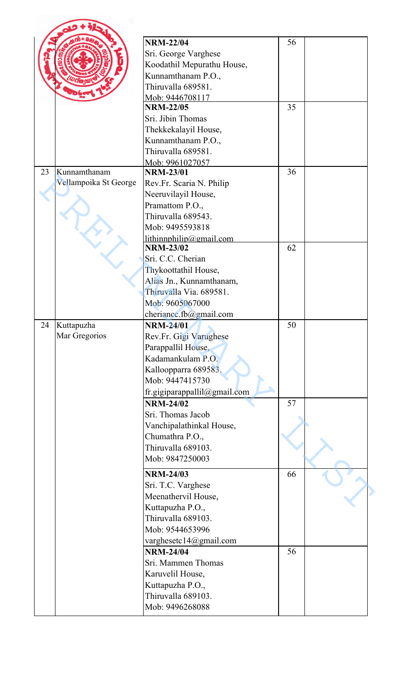|    |                       | <b>NRM-22/04</b>                            | 56 |  |
|----|-----------------------|---------------------------------------------|----|--|
|    |                       | Sri. George Varghese                        |    |  |
|    |                       | Koodathil Mepurathu House,                  |    |  |
|    |                       | Kunnamthanam P.O.,                          |    |  |
|    |                       | Thiruvalla 689581.                          |    |  |
|    |                       | Mob: 9446708117                             |    |  |
|    |                       | <b>NRM-22/05</b>                            | 35 |  |
|    |                       | Sri. Jibin Thomas                           |    |  |
|    |                       | Thekkekalayil House,                        |    |  |
|    |                       | Kunnamthanam P.O.,                          |    |  |
|    |                       | Thiruvalla 689581.                          |    |  |
|    |                       | Mob: 9961027057                             |    |  |
| 23 | Kunnamthanam          | <b>NRM-23/01</b>                            | 36 |  |
|    | Vellampoika St George | Rev.Fr. Scaria N. Philip                    |    |  |
|    |                       | Neeruvilayil House,                         |    |  |
|    |                       | Pramattom P.O.,                             |    |  |
|    |                       | Thiruvalla 689543.                          |    |  |
|    |                       | Mob: 9495593818                             |    |  |
|    |                       |                                             |    |  |
|    |                       | lithinnphilip@gmail.com<br><b>NRM-23/02</b> | 62 |  |
|    |                       | Sri. C.C. Cherian                           |    |  |
|    |                       |                                             |    |  |
|    |                       | Thykoottathil House,                        |    |  |
|    |                       | Alias Jn., Kunnamthanam,                    |    |  |
|    |                       | Thiruvalla Via. 689581.                     |    |  |
|    |                       | Mob: 9605067000                             |    |  |
|    |                       | cheriance.fb@gmail.com                      |    |  |
| 24 | Kuttapuzha            | <b>NRM-24/01</b>                            | 50 |  |
|    | Mar Gregorios         | Rev.Fr. Gigi Varughese                      |    |  |
|    |                       | Parappallil House,                          |    |  |
|    |                       | Kadamankulam P.O.                           |    |  |
|    |                       | Kalloopparra 689583.                        |    |  |
|    |                       | Mob: 9447415730                             |    |  |
|    |                       | fr.gigiparappallil@gmail.com                |    |  |
|    |                       | <b>NRM-24/02</b>                            | 57 |  |
|    |                       | Sri. Thomas Jacob                           |    |  |
|    |                       | Vanchipalathinkal House,                    |    |  |
|    |                       | Chumathra P.O.,                             |    |  |
|    |                       | Thiruvalla 689103.                          |    |  |
|    |                       | Mob: 9847250003                             |    |  |
|    |                       | <b>NRM-24/03</b>                            | 66 |  |
|    |                       |                                             |    |  |
|    |                       | Sri. T.C. Varghese                          |    |  |
|    |                       | Meenathervil House,                         |    |  |
|    |                       | Kuttapuzha P.O.,                            |    |  |
|    |                       | Thiruvalla 689103.                          |    |  |
|    |                       | Mob: 9544653996                             |    |  |
|    |                       | varghesetc14@gmail.com                      |    |  |
|    |                       | <b>NRM-24/04</b>                            | 56 |  |
|    |                       | Sri. Mammen Thomas                          |    |  |
|    |                       | Karuvelil House,                            |    |  |
|    |                       | Kuttapuzha P.O.,                            |    |  |
|    |                       | Thiruvalla 689103.                          |    |  |
|    |                       | Mob: 9496268088                             |    |  |
|    |                       |                                             |    |  |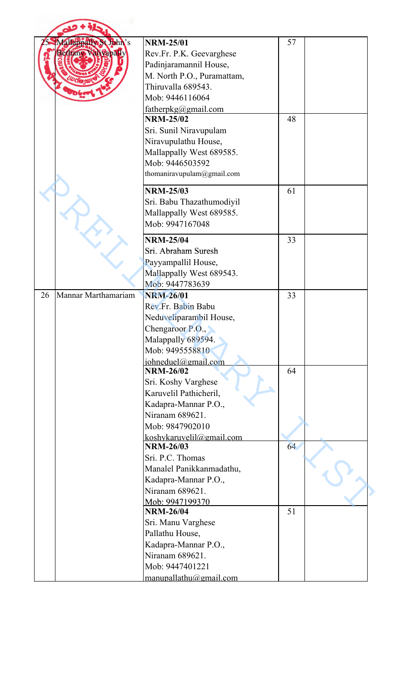| Mallapparte St John's<br>sethany <b>Walvapall</b> | <b>NRM-25/01</b><br>Rev.Fr. P.K. Geevarghese<br>Padinjaramannil House,<br>M. North P.O., Puramattam,<br>Thiruvalla 689543<br>Mob: 9446116064<br>fatherpkg@gmail.com<br><b>NRM-25/02</b><br>Sri. Sunil Niravupulam<br>Niravupulathu House,<br>Mallappally West 689585.<br>Mob: 9446503592<br>thomaniravupulam@gmail.com | 57<br>48 |
|---------------------------------------------------|------------------------------------------------------------------------------------------------------------------------------------------------------------------------------------------------------------------------------------------------------------------------------------------------------------------------|----------|
|                                                   | <b>NRM-25/03</b><br>Sri. Babu Thazathumodiyil<br>Mallappally West 689585.<br>Mob: 9947167048                                                                                                                                                                                                                           | 61       |
|                                                   | <b>NRM-25/04</b><br>Sri. Abraham Suresh<br>Payyampallil House,<br>Mallappally West 689543.<br>Mob: 9447783639                                                                                                                                                                                                          | 33       |
| Mannar Marthamariam<br>26                         | <b>NRM-26/01</b><br>Rev.Fr. Babin Babu<br>Neduveliparambil House,<br>Chengaroor $P.O., \bullet$<br>Malappally 689594.<br>Mob: 9495558810<br>iohneduel@gmail.com                                                                                                                                                        | 33       |
|                                                   | <b>NRM-26/02</b><br>Sri. Koshy Varghese<br>Karuvelil Pathicheril,<br>Kadapra-Mannar P.O.,<br>Niranam 689621.<br>Mob: 9847902010<br>koshykaruvelil@gmail.com                                                                                                                                                            | 64       |
|                                                   | <b>NRM-26/03</b><br>Sri. P.C. Thomas<br>Manalel Panikkanmadathu,<br>Kadapra-Mannar P.O.,<br>Niranam 689621.<br>Mob: 9947199370                                                                                                                                                                                         | 64       |
|                                                   | <b>NRM-26/04</b><br>Sri. Manu Varghese<br>Pallathu House,<br>Kadapra-Mannar P.O.,<br>Niranam 689621.<br>Mob: 9447401221<br>manupallathu@gmail.com                                                                                                                                                                      | 51       |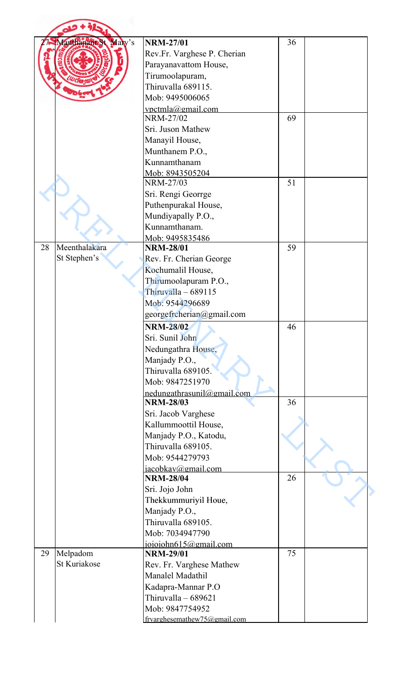|    | Mary's<br>anthanam St | <b>NRM-27/01</b>             | 36 |  |
|----|-----------------------|------------------------------|----|--|
|    |                       | Rev.Fr. Varghese P. Cherian  |    |  |
|    |                       | Parayanavattom House,        |    |  |
|    |                       | Tirumoolapuram,              |    |  |
|    |                       | Thiruvalla 689115.           |    |  |
|    |                       | Mob: 9495006065              |    |  |
|    |                       | vpctmla@gmail.com            |    |  |
|    |                       | NRM-27/02                    | 69 |  |
|    |                       | Sri. Juson Mathew            |    |  |
|    |                       | Manayil House,               |    |  |
|    |                       | Munthanem P.O.,              |    |  |
|    |                       | Kunnamthanam                 |    |  |
|    |                       | Mob: 8943505204              |    |  |
|    |                       | NRM-27/03                    | 51 |  |
|    |                       | Sri. Rengi Georrge           |    |  |
|    |                       | Puthenpurakal House,         |    |  |
|    |                       | Mundiyapally P.O.,           |    |  |
|    |                       | Kunnamthanam.                |    |  |
|    |                       | Mob: 9495835486              |    |  |
| 28 | Meenthalakara         | <b>NRM-28/01</b>             | 59 |  |
|    | St Stephen's          | Rev. Fr. Cherian George      |    |  |
|    |                       | Kochumalil House,            |    |  |
|    |                       | Thirumoolapuram P.O.,        |    |  |
|    |                       | Thiruvalla - 689115          |    |  |
|    |                       | Mob: 9544296689              |    |  |
|    |                       | georgefrcherian@gmail.com    |    |  |
|    |                       | <b>NRM-28/02</b>             | 46 |  |
|    |                       | Sri. Sunil John              |    |  |
|    |                       | Nedungathra House,           |    |  |
|    |                       | Manjady P.O.,                |    |  |
|    |                       | Thiruvalla 689105.           |    |  |
|    |                       | Mob: 9847251970              |    |  |
|    |                       | nedungathrasunil@gmail.com   |    |  |
|    |                       | <b>NRM-28/03</b>             | 36 |  |
|    |                       | Sri. Jacob Varghese          |    |  |
|    |                       | Kallummoottil House,         |    |  |
|    |                       | Manjady P.O., Katodu,        |    |  |
|    |                       | Thiruvalla 689105.           |    |  |
|    |                       | Mob: 9544279793              |    |  |
|    |                       | jacobkav@gmail.com           |    |  |
|    |                       | <b>NRM-28/04</b>             | 26 |  |
|    |                       | Sri. Jojo John               |    |  |
|    |                       | Thekkummuriyil Houe,         |    |  |
|    |                       | Manjady P.O.,                |    |  |
|    |                       | Thiruvalla 689105.           |    |  |
|    |                       | Mob: 7034947790              |    |  |
|    |                       | ioioiohn615@gmail.com        |    |  |
| 29 | Melpadom              | <b>NRM-29/01</b>             | 75 |  |
|    | St Kuriakose          | Rev. Fr. Varghese Mathew     |    |  |
|    |                       | Manalel Madathil             |    |  |
|    |                       | Kadapra-Mannar P.O           |    |  |
|    |                       | Thiruvalla - 689621          |    |  |
|    |                       | Mob: 9847754952              |    |  |
|    |                       | frvarghesemathew75@gmail.com |    |  |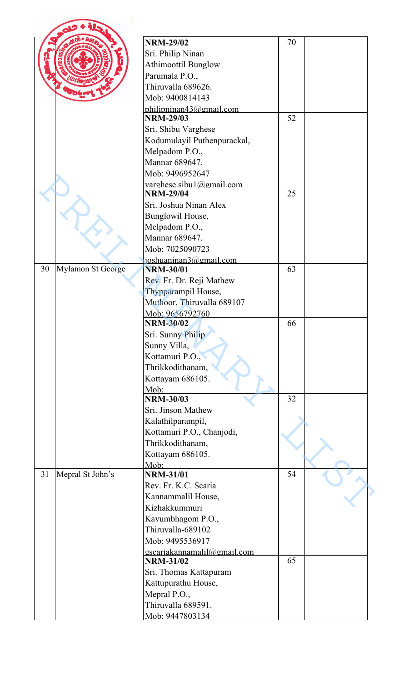|    |                          | <b>NRM-29/02</b>                                | 70 |  |
|----|--------------------------|-------------------------------------------------|----|--|
|    |                          | Sri. Philip Ninan                               |    |  |
|    |                          | <b>Athimoottil Bunglow</b>                      |    |  |
|    |                          |                                                 |    |  |
|    |                          | Parumala P.O.,                                  |    |  |
|    |                          | Thiruvalla 689626.                              |    |  |
|    |                          | Mob: 9400814143                                 |    |  |
|    |                          | philipninan43@gmail.com<br><b>NRM-29/03</b>     | 52 |  |
|    |                          | Sri. Shibu Varghese                             |    |  |
|    |                          | Kodumulayil Puthenpurackal,                     |    |  |
|    |                          | Melpadom P.O.,                                  |    |  |
|    |                          | Mannar 689647.                                  |    |  |
|    |                          | Mob: 9496952647                                 |    |  |
|    |                          | varghese.sibul@gmail.com                        |    |  |
|    |                          | <b>NRM-29/04</b>                                | 25 |  |
|    |                          | Sri. Joshua Ninan Alex                          |    |  |
|    |                          | Bunglowil House,                                |    |  |
|    |                          | Melpadom P.O.,                                  |    |  |
|    |                          | Mannar 689647.                                  |    |  |
|    |                          | Mob: 7025090723                                 |    |  |
|    |                          | joshuaninan3@gmail.com                          |    |  |
| 30 | <b>Mylamon St George</b> | <b>NRM-30/01</b>                                | 63 |  |
|    |                          | Rev. Fr. Dr. Reji Mathew                        |    |  |
|    |                          | Thypparampil House,                             |    |  |
|    |                          | Muthoor, Thiruvalla 689107                      |    |  |
|    |                          | Mob: 9656792760                                 |    |  |
|    |                          | <b>NRM-30/02</b>                                | 66 |  |
|    |                          | Sri. Sunny Philip                               |    |  |
|    |                          | Sunny Villa,                                    |    |  |
|    |                          | Kottamuri P.O.,                                 |    |  |
|    |                          | Thrikkodithanam,                                |    |  |
|    |                          | Kottayam 686105.                                |    |  |
|    |                          | Mob:                                            |    |  |
|    |                          | <b>NRM-30/03</b>                                | 32 |  |
|    |                          | Sri. Jinson Mathew                              |    |  |
|    |                          | Kalathilparampil,                               |    |  |
|    |                          | Kottamuri P.O., Chanjodi,                       |    |  |
|    |                          | Thrikkodithanam,                                |    |  |
|    |                          | Kottayam 686105.                                |    |  |
|    |                          | Mob:                                            |    |  |
| 31 | Mepral St John's         | <b>NRM-31/01</b>                                | 54 |  |
|    |                          | Rev. Fr. K.C. Scaria                            |    |  |
|    |                          | Kannammalil House,                              |    |  |
|    |                          | Kizhakkummuri                                   |    |  |
|    |                          | Kavumbhagom P.O.,                               |    |  |
|    |                          | Thiruvalla-689102                               |    |  |
|    |                          | Mob: 9495536917                                 |    |  |
|    |                          | gscariakannamalil@gmail.com<br><b>NRM-31/02</b> | 65 |  |
|    |                          |                                                 |    |  |
|    |                          | Sri. Thomas Kattapuram                          |    |  |
|    |                          | Kattupurathu House,                             |    |  |
|    |                          | Mepral P.O.,                                    |    |  |
|    |                          | Thiruvalla 689591.                              |    |  |
|    |                          | Mob: 9447803134                                 |    |  |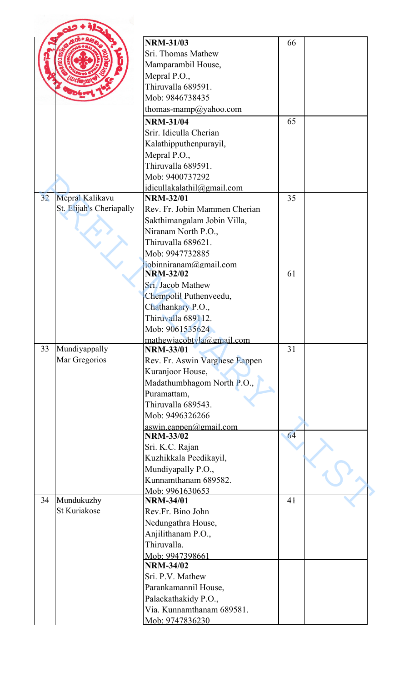|    |                          | <b>NRM-31/03</b>                               | 66 |  |
|----|--------------------------|------------------------------------------------|----|--|
|    |                          | Sri. Thomas Mathew                             |    |  |
|    |                          | Mamparambil House,                             |    |  |
|    |                          | Mepral P.O.,                                   |    |  |
|    |                          | Thiruvalla 689591.                             |    |  |
|    |                          | Mob: 9846738435                                |    |  |
|    |                          | thomas-mamp@yahoo.com                          |    |  |
|    |                          |                                                | 65 |  |
|    |                          | <b>NRM-31/04</b>                               |    |  |
|    |                          | Srir. Idiculla Cherian                         |    |  |
|    |                          | Kalathipputhenpurayil,                         |    |  |
|    |                          | Mepral $P.O.,$                                 |    |  |
|    |                          | Thiruvalla 689591.                             |    |  |
|    |                          | Mob: 9400737292                                |    |  |
| 32 |                          | idicullakalathil@gmail.com<br><b>NRM-32/01</b> | 35 |  |
|    | Mepral Kalikavu          |                                                |    |  |
|    | St. Elijah's Cheriapally | Rev. Fr. Jobin Mammen Cherian                  |    |  |
|    |                          | Sakthimangalam Jobin Villa,                    |    |  |
|    |                          | Niranam North P.O.,                            |    |  |
|    |                          | Thiruvalla 689621.                             |    |  |
|    |                          | Mob: 9947732885                                |    |  |
|    |                          | jobinniranam@gmail.com<br><b>NRM-32/02</b>     | 61 |  |
|    |                          | Sri. Jacob Mathew                              |    |  |
|    |                          |                                                |    |  |
|    |                          | Chempolil Puthenveedu,                         |    |  |
|    |                          | Chathankary P.O.,                              |    |  |
|    |                          | Thiruvalla 689112.                             |    |  |
|    |                          | Mob: 9061535624                                |    |  |
| 33 | Mundiyappally            | mathewiacobtyla@gmail.com<br><b>NRM-33/01</b>  | 31 |  |
|    | Mar Gregorios            | Rev. Fr. Aswin Varghese Eappen                 |    |  |
|    |                          | Kuranjoor House,                               |    |  |
|    |                          | Madathumbhagom North P.O.,                     |    |  |
|    |                          | Puramattam,                                    |    |  |
|    |                          | Thiruvalla 689543.                             |    |  |
|    |                          | Mob: 9496326266                                |    |  |
|    |                          | aswin.eappen@gmail.com                         |    |  |
|    |                          | <b>NRM-33/02</b>                               | 64 |  |
|    |                          | Sri. K.C. Rajan                                |    |  |
|    |                          | Kuzhikkala Peedikayil,                         |    |  |
|    |                          | Mundiyapally P.O.,                             |    |  |
|    |                          | Kunnamthanam 689582.                           |    |  |
|    |                          | Mob: 9961630653                                |    |  |
| 34 | Mundukuzhy               | <b>NRM-34/01</b>                               | 41 |  |
|    | <b>St Kuriakose</b>      | Rev.Fr. Bino John                              |    |  |
|    |                          | Nedungathra House,                             |    |  |
|    |                          | Anjilithanam P.O.,                             |    |  |
|    |                          | Thiruvalla.                                    |    |  |
|    |                          | Mob: 9947398661                                |    |  |
|    |                          | <b>NRM-34/02</b>                               |    |  |
|    |                          | Sri. P.V. Mathew                               |    |  |
|    |                          | Parankamannil House,                           |    |  |
|    |                          | Palackathakidy P.O.,                           |    |  |
|    |                          | Via. Kunnamthanam 689581.                      |    |  |
|    |                          | Mob: 9747836230                                |    |  |
|    |                          |                                                |    |  |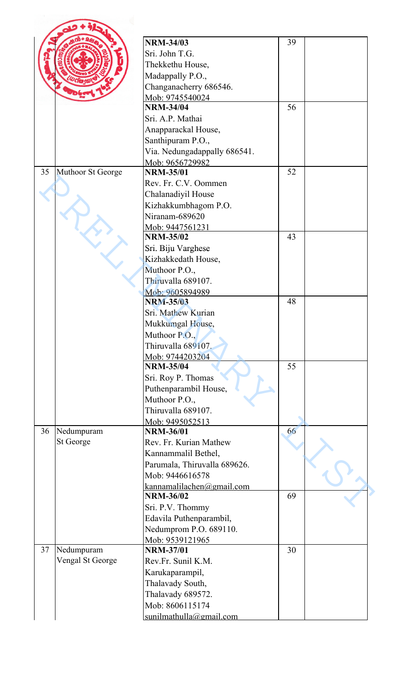|    |                         | <b>NRM-34/03</b>                    | 39 |  |
|----|-------------------------|-------------------------------------|----|--|
|    |                         |                                     |    |  |
|    |                         | Sri. John T.G.                      |    |  |
|    |                         | Thekkethu House,                    |    |  |
|    |                         | Madappally P.O.,                    |    |  |
|    |                         | Changanacherry 686546.              |    |  |
|    |                         | Mob: 9745540024                     |    |  |
|    |                         | <b>NRM-34/04</b>                    | 56 |  |
|    |                         | Sri. A.P. Mathai                    |    |  |
|    |                         | Anapparackal House,                 |    |  |
|    |                         | Santhipuram P.O.,                   |    |  |
|    |                         | Via. Nedungadappally 686541.        |    |  |
|    |                         | Mob: 9656729982                     |    |  |
| 35 | Muthoor St George       | <b>NRM-35/01</b>                    | 52 |  |
|    |                         | Rev. Fr. C.V. Oommen                |    |  |
|    |                         | Chalanadiyil House                  |    |  |
|    |                         | Kizhakkumbhagom P.O.                |    |  |
|    |                         | Niranam-689620                      |    |  |
|    |                         | Mob: 9447561231                     |    |  |
|    |                         | <b>NRM-35/02</b>                    | 43 |  |
|    |                         | Sri. Biju Varghese                  |    |  |
|    |                         | Kizhakkedath House,                 |    |  |
|    |                         | Muthoor P.O.,                       |    |  |
|    |                         |                                     |    |  |
|    |                         | Thiruvalla 689107.                  |    |  |
|    |                         | Mob: 9605894989<br><b>NRM-35/03</b> | 48 |  |
|    |                         | Sri. Mathew Kurian                  |    |  |
|    |                         |                                     |    |  |
|    |                         | Mukkumgal House,                    |    |  |
|    |                         | Muthoor P.O.,                       |    |  |
|    |                         | Thiruvalla 689107.                  |    |  |
|    |                         | Mob: 9744203204                     |    |  |
|    |                         | <b>NRM-35/04</b>                    | 55 |  |
|    |                         | Sri. Roy P. Thomas                  |    |  |
|    |                         | Puthenparambil House,               |    |  |
|    |                         | Muthoor P.O.,                       |    |  |
|    |                         | Thiruvalla 689107.                  |    |  |
|    |                         | Mob: 9495052513                     |    |  |
| 36 | Nedumpuram              | <b>NRM-36/01</b>                    | 66 |  |
|    | St George               | Rev. Fr. Kurian Mathew              |    |  |
|    |                         | Kannammalil Bethel,                 |    |  |
|    |                         | Parumala, Thiruvalla 689626.        |    |  |
|    |                         | Mob: 9446616578                     |    |  |
|    |                         | kannamalilachen@gmail.com           |    |  |
|    |                         | <b>NRM-36/02</b>                    | 69 |  |
|    |                         | Sri. P.V. Thommy                    |    |  |
|    |                         | Edavila Puthenparambil,             |    |  |
|    |                         | Nedumprom P.O. 689110.              |    |  |
|    |                         | Mob: 9539121965                     |    |  |
| 37 | Nedumpuram              | <b>NRM-37/01</b>                    | 30 |  |
|    | <b>Vengal St George</b> | Rev.Fr. Sunil K.M.                  |    |  |
|    |                         |                                     |    |  |
|    |                         | Karukaparampil,                     |    |  |
|    |                         | Thalavady South,                    |    |  |
|    |                         | Thalavady 689572.                   |    |  |
|    |                         | Mob: 8606115174                     |    |  |
|    |                         | sunilmathulla@gmail.com             |    |  |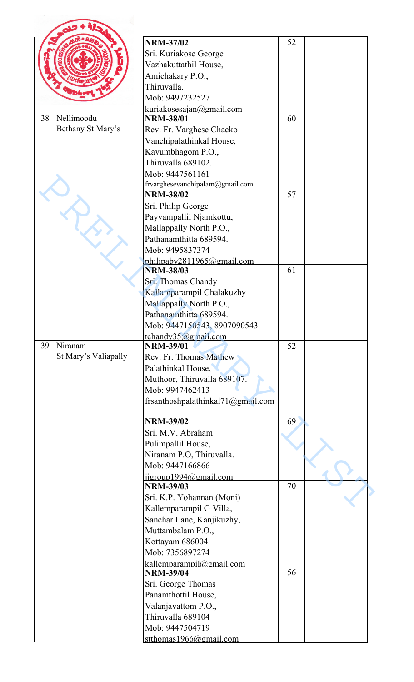|    |                      | <b>NRM-37/02</b>                             | 52 |  |
|----|----------------------|----------------------------------------------|----|--|
|    |                      | Sri. Kuriakose George                        |    |  |
|    |                      | Vazhakuttathil House,                        |    |  |
|    |                      | Amichakary P.O.,                             |    |  |
|    |                      | Thiruvalla.                                  |    |  |
|    |                      | Mob: 9497232527                              |    |  |
|    |                      | kuriakosesajan@gmail.com                     |    |  |
| 38 | Nellimoodu           | <b>NRM-38/01</b>                             | 60 |  |
|    | Bethany St Mary's    | Rev. Fr. Varghese Chacko                     |    |  |
|    |                      | Vanchipalathinkal House,                     |    |  |
|    |                      | Kavumbhagom P.O.,                            |    |  |
|    |                      | Thiruvalla 689102.                           |    |  |
|    |                      | Mob: 9447561161                              |    |  |
|    |                      | frvarghesevanchipalam@gmail.com              |    |  |
|    |                      | <b>NRM-38/02</b>                             | 57 |  |
|    |                      | Sri. Philip George                           |    |  |
|    |                      | Payyampallil Njamkottu,                      |    |  |
|    |                      | Mallappally North P.O.,                      |    |  |
|    |                      | Pathanamthitta 689594.                       |    |  |
|    |                      | Mob: 9495837374                              |    |  |
|    |                      | philipaby2811965@gmail.com                   |    |  |
|    |                      | <b>NRM-38/03</b>                             | 61 |  |
|    |                      | Sri. Thomas Chandy                           |    |  |
|    |                      | Kallamparampil Chalakuzhy                    |    |  |
|    |                      | Mallappally North P.O.,                      |    |  |
|    |                      | Pathanamthitta 689594.                       |    |  |
|    |                      | Mob: 9447150543, 8907090543                  |    |  |
|    |                      | tchandy35@gmail.com                          |    |  |
| 39 | Niranam              | <b>NRM-39/01</b>                             | 52 |  |
|    | St Mary's Valiapally | Rev. Fr. Thomas Mathew                       |    |  |
|    |                      | Palathinkal House,                           |    |  |
|    |                      | Muthoor, Thiruvalla 689107.                  |    |  |
|    |                      | Mob: 9947462413                              |    |  |
|    |                      | frsanthoshpalathinkal71@gmail.com            |    |  |
|    |                      | <b>NRM-39/02</b>                             | 69 |  |
|    |                      | Sri. M.V. Abraham                            |    |  |
|    |                      | Pulimpallil House,                           |    |  |
|    |                      | Niranam P.O, Thiruvalla.                     |    |  |
|    |                      | Mob: 9447166866                              |    |  |
|    |                      | $ij$ group1994@gmail.com                     |    |  |
|    |                      | <b>NRM-39/03</b>                             | 70 |  |
|    |                      | Sri. K.P. Yohannan (Moni)                    |    |  |
|    |                      | Kallemparampil G Villa,                      |    |  |
|    |                      | Sanchar Lane, Kanjikuzhy,                    |    |  |
|    |                      | Muttambalam P.O.,                            |    |  |
|    |                      | Kottayam 686004.                             |    |  |
|    |                      | Mob: 7356897274                              |    |  |
|    |                      | kallemparampil@gmail.com<br><b>NRM-39/04</b> | 56 |  |
|    |                      | Sri. George Thomas                           |    |  |
|    |                      | Panamthottil House,                          |    |  |
|    |                      |                                              |    |  |
|    |                      | Valanjavattom P.O.,<br>Thiruvalla 689104     |    |  |
|    |                      | Mob: 9447504719                              |    |  |
|    |                      | stthomas $1966$ @gmail.com                   |    |  |
|    |                      |                                              |    |  |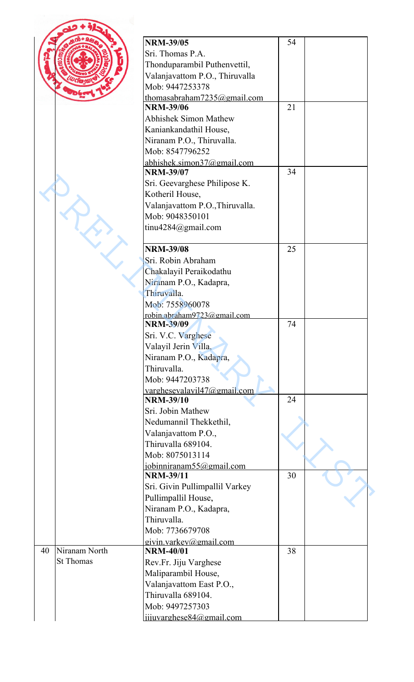|                  | <b>NRM-39/05</b>                                       | 54 |  |
|------------------|--------------------------------------------------------|----|--|
|                  | Sri. Thomas P.A.                                       |    |  |
|                  |                                                        |    |  |
|                  | Thonduparambil Puthenvettil,                           |    |  |
|                  | Valanjavattom P.O., Thiruvalla                         |    |  |
|                  | Mob: 9447253378                                        |    |  |
|                  | thomasabraham7235@gmail.com<br><b>NRM-39/06</b>        | 21 |  |
|                  | <b>Abhishek Simon Mathew</b>                           |    |  |
|                  |                                                        |    |  |
|                  | Kaniankandathil House,                                 |    |  |
|                  | Niranam P.O., Thiruvalla.                              |    |  |
|                  | Mob: 8547796252                                        |    |  |
|                  | abhishek.simon37@gmail.com<br><b>NRM-39/07</b>         | 34 |  |
|                  |                                                        |    |  |
|                  | Sri. Geevarghese Philipose K.                          |    |  |
|                  | Kotheril House,                                        |    |  |
|                  | Valanjavattom P.O., Thiruvalla.                        |    |  |
|                  | Mob: 9048350101                                        |    |  |
|                  | tinu4284@gmail.com                                     |    |  |
|                  | <b>NRM-39/08</b>                                       | 25 |  |
|                  |                                                        |    |  |
|                  | Sri. Robin Abraham                                     |    |  |
|                  | Chakalayil Peraikodathu                                |    |  |
|                  | Niranam P.O., Kadapra,                                 |    |  |
|                  | Thiruvalla.                                            |    |  |
|                  | Mob: 7558960078                                        |    |  |
|                  | <u>robin.abraham9723@gmail.com</u><br><b>NRM-39/09</b> | 74 |  |
|                  | Sri. V.C. Varghese                                     |    |  |
|                  | Valayil Jerin Villa,                                   |    |  |
|                  | Niranam P.O., Kadapra,                                 |    |  |
|                  | Thiruvalla.                                            |    |  |
|                  | Mob: 9447203738                                        |    |  |
|                  | <u>varghesevalavil47@gmail.com</u>                     |    |  |
|                  | <b>NRM-39/10</b>                                       | 24 |  |
|                  | Sri. Jobin Mathew                                      |    |  |
|                  | Nedumannil Thekkethil,                                 |    |  |
|                  |                                                        |    |  |
|                  | Valanjavattom P.O.,                                    |    |  |
|                  | Thiruvalla 689104.                                     |    |  |
|                  | Mob: 8075013114                                        |    |  |
|                  | iobinniranam55@gmail.com                               |    |  |
|                  | <b>NRM-39/11</b>                                       | 30 |  |
|                  |                                                        |    |  |
|                  | Sri. Givin Pullimpallil Varkey                         |    |  |
|                  | Pullimpallil House,<br>Niranam P.O., Kadapra,          |    |  |
|                  | Thiruvalla.                                            |    |  |
|                  |                                                        |    |  |
|                  | Mob: 7736679708<br>givin.varkey@gmail.com              |    |  |
| Niranam North    | <b>NRM-40/01</b>                                       | 38 |  |
| <b>St Thomas</b> | Rev.Fr. Jiju Varghese                                  |    |  |
|                  | Maliparambil House,                                    |    |  |
|                  | Valanjavattom East P.O.,                               |    |  |
|                  | Thiruvalla 689104.                                     |    |  |
| 40               | Mob: 9497257303                                        |    |  |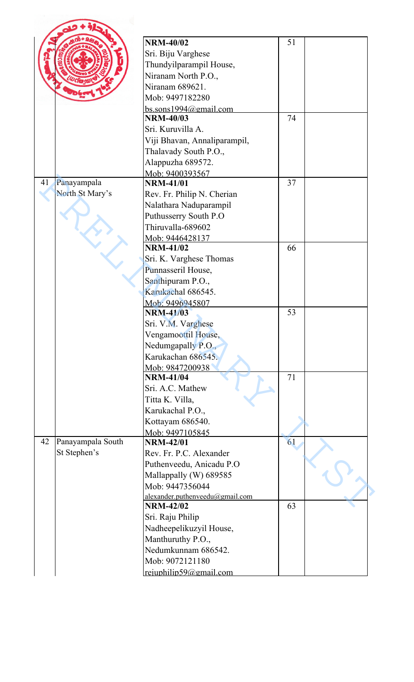|    |                   | <b>NRM-40/02</b>                | 51 |  |
|----|-------------------|---------------------------------|----|--|
|    |                   | Sri. Biju Varghese              |    |  |
|    |                   | Thundyilparampil House,         |    |  |
|    |                   | Niranam North P.O.,             |    |  |
|    |                   | Niranam 689621.                 |    |  |
|    |                   | Mob: 9497182280                 |    |  |
|    |                   | bs.sons1994@gmail.com           |    |  |
|    |                   | <b>NRM-40/03</b>                | 74 |  |
|    |                   | Sri. Kuruvilla A.               |    |  |
|    |                   | Viji Bhavan, Annaliparampil,    |    |  |
|    |                   | Thalavady South P.O.,           |    |  |
|    |                   | Alappuzha 689572.               |    |  |
|    |                   | Mob: 9400393567                 |    |  |
| 41 | Panayampala       | <b>NRM-41/01</b>                | 37 |  |
|    | North St Mary's   | Rev. Fr. Philip N. Cherian      |    |  |
|    |                   | Nalathara Naduparampil          |    |  |
|    |                   | Puthusserry South P.O           |    |  |
|    |                   | Thiruvalla-689602               |    |  |
|    |                   | Mob: 9446428137                 |    |  |
|    |                   | <b>NRM-41/02</b>                | 66 |  |
|    |                   | Sri. K. Varghese Thomas         |    |  |
|    |                   | Punnasseril House,              |    |  |
|    |                   | Santhipuram P.O.,               |    |  |
|    |                   | Karukachal 686545.              |    |  |
|    |                   | Mob: 9496945807                 |    |  |
|    |                   | <b>NRM-41/03</b>                | 53 |  |
|    |                   | Sri. V.M. Varghese              |    |  |
|    |                   | Vengamoottil House,             |    |  |
|    |                   | Nedumgapally P.O.,              |    |  |
|    |                   | Karukachan 686545.              |    |  |
|    |                   | Mob: 9847200938                 |    |  |
|    |                   | <b>NRM-41/04</b>                | 71 |  |
|    |                   | Sri. A.C. Mathew                |    |  |
|    |                   | Titta K. Villa,                 |    |  |
|    |                   | Karukachal P.O.,                |    |  |
|    |                   | Kottayam 686540.                |    |  |
|    |                   | Mob: 9497105845                 |    |  |
| 42 | Panayampala South | <b>NRM-42/01</b>                | 61 |  |
|    | St Stephen's      | Rev. Fr. P.C. Alexander         |    |  |
|    |                   | Puthenveedu, Anicadu P.O        |    |  |
|    |                   | Mallappally (W) 689585          |    |  |
|    |                   | Mob: 9447356044                 |    |  |
|    |                   | alexander.puthenveedu@gmail.com |    |  |
|    |                   | <b>NRM-42/02</b>                | 63 |  |
|    |                   | Sri. Raju Philip                |    |  |
|    |                   | Nadheepelikuzyil House,         |    |  |
|    |                   | Manthuruthy P.O.,               |    |  |
|    |                   | Nedumkunnam 686542.             |    |  |
|    |                   | Mob: 9072121180                 |    |  |
|    |                   | reiuphilip59@gmail.com          |    |  |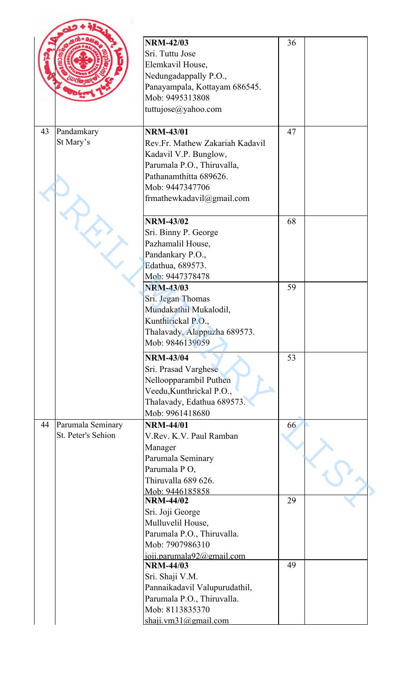|                         | <b>NRM-42/03</b>                 | 36 |
|-------------------------|----------------------------------|----|
|                         | Sri. Tuttu Jose                  |    |
|                         |                                  |    |
|                         | Elemkavil House,                 |    |
|                         | Nedungadappally P.O.,            |    |
|                         | Panayampala, Kottayam 686545.    |    |
|                         | Mob: 9495313808                  |    |
|                         | tuttujose@yahoo.com              |    |
| Pandamkary<br>43        | <b>NRM-43/01</b>                 | 47 |
| St Mary's               | Rev.Fr. Mathew Zakariah Kadavil  |    |
|                         | Kadavil V.P. Bunglow,            |    |
|                         | Parumala P.O., Thiruvalla,       |    |
|                         | Pathanamthitta 689626.           |    |
|                         | Mob: 9447347706                  |    |
|                         | frmathewkadavil@gmail.com        |    |
|                         |                                  |    |
|                         | <b>NRM-43/02</b>                 | 68 |
|                         | Sri. Binny P. George             |    |
|                         | Pazhamalil House,                |    |
|                         | Pandankary P.O.,                 |    |
|                         | Edathua, 689573.                 |    |
|                         | Mob: 9447378478                  |    |
|                         | <b>NRM-43/03</b>                 | 59 |
|                         | Sri. Jegan Thomas                |    |
|                         |                                  |    |
|                         | Mundakathil Mukalodil,           |    |
|                         | Kunthirickal P.O.,               |    |
|                         | Thalavady, Alappuzha 689573.     |    |
|                         | Mob: 9846139059                  |    |
|                         | <b>NRM-43/04</b>                 | 53 |
|                         | Sri. Prasad Varghese             |    |
|                         | Nelloopparambil Puthen           |    |
|                         | Veedu, Kunthrickal P.O.,         |    |
|                         | Thalavady, Edathua 689573.       |    |
|                         | Mob: 9961418680                  |    |
| 44<br>Parumala Seminary | <b>NRM-44/01</b>                 | 66 |
| St. Peter's Sehion      | V.Rev. K.V. Paul Ramban          |    |
|                         | Manager                          |    |
|                         | Parumala Seminary                |    |
|                         | Parumala PO,                     |    |
|                         | Thiruvalla 689 626.              |    |
|                         | Mob: 9446185858                  |    |
|                         | <b>NRM-44/02</b>                 | 29 |
|                         | Sri. Joji George                 |    |
|                         | Mulluvelil House,                |    |
|                         | Parumala P.O., Thiruvalla.       |    |
|                         | Mob: 7907986310                  |    |
|                         | $j$ oji.parumala $92$ @gmail.com |    |
|                         | <b>NRM-44/03</b>                 | 49 |
|                         | Sri. Shaji V.M.                  |    |
|                         |                                  |    |
|                         | Pannaikadavil Valupurudathil,    |    |
|                         | Parumala P.O., Thiruvalla.       |    |
|                         | Mob: 8113835370                  |    |
|                         | shaji.vm $31$ @gmail.com         |    |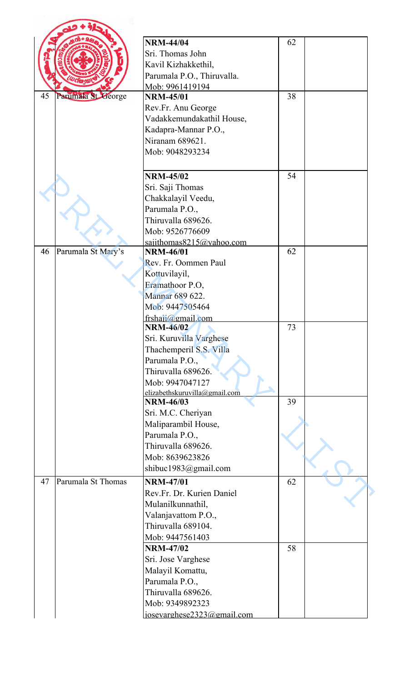|                          | <b>NRM-44/04</b>                        | 62 |  |
|--------------------------|-----------------------------------------|----|--|
|                          | Sri. Thomas John                        |    |  |
|                          |                                         |    |  |
|                          | Kavil Kizhakkethil,                     |    |  |
|                          | Parumala P.O., Thiruvalla.              |    |  |
| Parumala St George<br>45 | Mob: 9961419194<br><b>NRM-45/01</b>     | 38 |  |
|                          | Rev.Fr. Anu George                      |    |  |
|                          | Vadakkemundakathil House,               |    |  |
|                          |                                         |    |  |
|                          | Kadapra-Mannar P.O.,<br>Niranam 689621. |    |  |
|                          | Mob: 9048293234                         |    |  |
|                          |                                         |    |  |
|                          | <b>NRM-45/02</b>                        | 54 |  |
|                          | Sri. Saji Thomas                        |    |  |
|                          | Chakkalayil Veedu,                      |    |  |
|                          | Parumala P.O.,                          |    |  |
|                          | Thiruvalla 689626.                      |    |  |
|                          | Mob: 9526776609                         |    |  |
|                          | sajithomas8215@yahoo.com                |    |  |
| Parumala St Mary's<br>46 | <b>NRM-46/01</b>                        | 62 |  |
|                          | Rev. Fr. Oommen Paul                    |    |  |
|                          | Kottuvilayil,                           |    |  |
|                          | Eramathoor P.O,                         |    |  |
|                          | Mannar 689 622.                         |    |  |
|                          | Mob: 9447505464                         |    |  |
|                          | frshaji@gmail.com                       |    |  |
|                          | <b>NRM-46/02</b>                        | 73 |  |
|                          | Sri. Kuruvilla Varghese                 |    |  |
|                          | Thachemperil S.S. Villa                 |    |  |
|                          | Parumala P.O.,                          |    |  |
|                          | Thiruvalla 689626.                      |    |  |
|                          | Mob: 9947047127                         |    |  |
|                          | elizabethskuruvilla@gmail.com           |    |  |
|                          | <b>NRM-46/03</b>                        | 39 |  |
|                          | Sri. M.C. Cheriyan                      |    |  |
|                          | Maliparambil House,                     |    |  |
|                          | Parumala P.O.,                          |    |  |
|                          | Thiruvalla 689626.                      |    |  |
|                          | Mob: 8639623826                         |    |  |
|                          | shibuc1983@gmail.com                    |    |  |
| Parumala St Thomas<br>47 | <b>NRM-47/01</b>                        | 62 |  |
|                          | Rev.Fr. Dr. Kurien Daniel               |    |  |
|                          | Mulanilkunnathil,                       |    |  |
|                          | Valanjavattom P.O.,                     |    |  |
|                          | Thiruvalla 689104.                      |    |  |
|                          | Mob: 9447561403                         |    |  |
|                          | <b>NRM-47/02</b>                        | 58 |  |
|                          | Sri. Jose Varghese                      |    |  |
|                          | Malayil Komattu,                        |    |  |
|                          | Parumala P.O.,                          |    |  |
|                          | Thiruvalla 689626.                      |    |  |
|                          | Mob: 9349892323                         |    |  |
|                          | iosevarghese2323@gmail.com              |    |  |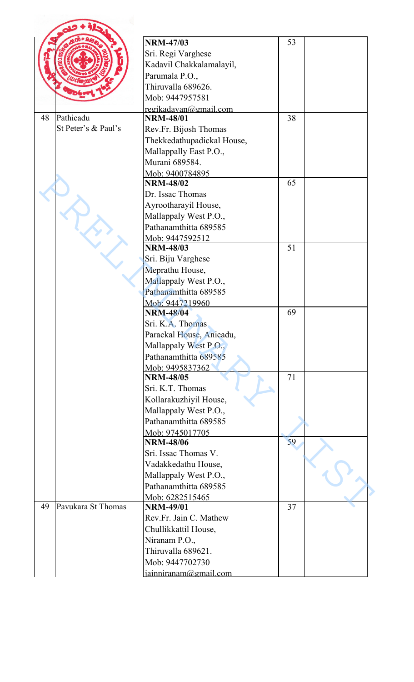|    |                     | <b>NRM-47/03</b>                          | 53 |  |
|----|---------------------|-------------------------------------------|----|--|
|    |                     | Sri. Regi Varghese                        |    |  |
|    |                     |                                           |    |  |
|    |                     | Kadavil Chakkalamalayil,                  |    |  |
|    |                     | Parumala P.O.,                            |    |  |
|    |                     | Thiruvalla 689626.                        |    |  |
|    |                     | Mob: 9447957581                           |    |  |
| 48 | Pathicadu           | regikadavan@gmail.com<br><b>NRM-48/01</b> | 38 |  |
|    | St Peter's & Paul's | Rev.Fr. Bijosh Thomas                     |    |  |
|    |                     |                                           |    |  |
|    |                     | Thekkedathupadickal House,                |    |  |
|    |                     | Mallappally East P.O.,<br>Murani 689584.  |    |  |
|    |                     |                                           |    |  |
|    |                     | Mob: 9400784895<br><b>NRM-48/02</b>       | 65 |  |
|    |                     |                                           |    |  |
|    |                     | Dr. Issac Thomas                          |    |  |
|    |                     | Ayrootharayil House,                      |    |  |
|    |                     | Mallappaly West P.O.,                     |    |  |
|    |                     | Pathanamthitta 689585                     |    |  |
|    |                     | Mob: 9447592512                           | 51 |  |
|    |                     | <b>NRM-48/03</b>                          |    |  |
|    |                     | Sri. Biju Varghese                        |    |  |
|    |                     | Meprathu House,                           |    |  |
|    |                     | Mallappaly West P.O.,                     |    |  |
|    |                     | Pathanamthitta 689585                     |    |  |
|    |                     | Mob: 9447219960                           |    |  |
|    |                     | <b>NRM-48/04</b>                          | 69 |  |
|    |                     | Sri. K.A. Thomas                          |    |  |
|    |                     | Parackal House, Anicadu,                  |    |  |
|    |                     | Mallappaly West P.O.,                     |    |  |
|    |                     | Pathanamthitta 689585                     |    |  |
|    |                     | Mob: 9495837362                           |    |  |
|    |                     | <b>NRM-48/05</b>                          | 71 |  |
|    |                     | Sri. K.T. Thomas                          |    |  |
|    |                     | Kollarakuzhiyil House,                    |    |  |
|    |                     | Mallappaly West P.O.,                     |    |  |
|    |                     | Pathanamthitta 689585                     |    |  |
|    |                     | Mob: 9745017705                           |    |  |
|    |                     | <b>NRM-48/06</b>                          | 59 |  |
|    |                     | Sri. Issac Thomas V.                      |    |  |
|    |                     | Vadakkedathu House,                       |    |  |
|    |                     | Mallappaly West P.O.,                     |    |  |
|    |                     | Pathanamthitta 689585                     |    |  |
|    |                     | Mob: 6282515465                           |    |  |
| 49 | Pavukara St Thomas  | <b>NRM-49/01</b>                          | 37 |  |
|    |                     | Rev.Fr. Jain C. Mathew                    |    |  |
|    |                     | Chullikkattil House,                      |    |  |
|    |                     | Niranam P.O.,                             |    |  |
|    |                     | Thiruvalla 689621.                        |    |  |
|    |                     | Mob: 9447702730                           |    |  |
|    |                     | jainniranam@gmail.com                     |    |  |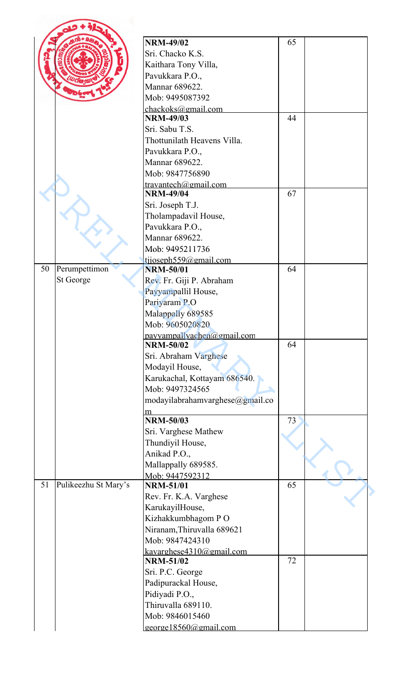|                     |                      | <b>NRM-49/02</b>                         | 65 |  |
|---------------------|----------------------|------------------------------------------|----|--|
|                     |                      |                                          |    |  |
|                     |                      | Sri. Chacko K.S.                         |    |  |
|                     |                      | Kaithara Tony Villa,                     |    |  |
|                     |                      | Pavukkara P.O.,                          |    |  |
|                     |                      | Mannar 689622.                           |    |  |
|                     |                      | Mob: 9495087392                          |    |  |
|                     |                      | chackoks@gmail.com<br><b>NRM-49/03</b>   | 44 |  |
|                     |                      | Sri. Sabu T.S.                           |    |  |
|                     |                      | Thottunilath Heavens Villa.              |    |  |
|                     |                      | Pavukkara P.O.,                          |    |  |
|                     |                      | Mannar 689622.                           |    |  |
|                     |                      | Mob: 9847756890                          |    |  |
|                     |                      |                                          |    |  |
|                     |                      | travantech@gmail.com<br><b>NRM-49/04</b> | 67 |  |
|                     |                      | Sri. Joseph T.J.                         |    |  |
|                     |                      | Tholampadavil House,                     |    |  |
|                     |                      | Pavukkara P.O.,                          |    |  |
|                     |                      | Mannar 689622.                           |    |  |
|                     |                      | Mob: 9495211736                          |    |  |
|                     |                      | tijoseph559@gmail.com                    |    |  |
| Perumpettimon<br>50 |                      | <b>NRM-50/01</b>                         | 64 |  |
| St George           |                      | Rev. Fr. Giji P. Abraham                 |    |  |
|                     |                      | Payyampallil House,                      |    |  |
|                     |                      | Pariyaram P.O                            |    |  |
|                     |                      | Malappally 689585                        |    |  |
|                     |                      | Mob: 9605020820                          |    |  |
|                     |                      | payvampallyachen@gmail.com               |    |  |
|                     |                      | <b>NRM-50/02</b>                         | 64 |  |
|                     |                      | Sri. Abraham Varghese                    |    |  |
|                     |                      | Modayil House,                           |    |  |
|                     |                      | Karukachal, Kottayam 686540.             |    |  |
|                     |                      | Mob: 9497324565                          |    |  |
|                     |                      | modayilabrahamvarghese@gmail.co          |    |  |
|                     |                      | m                                        |    |  |
|                     |                      | <b>NRM-50/03</b>                         | 73 |  |
|                     |                      | Sri. Varghese Mathew                     |    |  |
|                     |                      | Thundiyil House,                         |    |  |
|                     |                      | Anikad P.O.,                             |    |  |
|                     |                      | Mallappally 689585.                      |    |  |
|                     |                      | Mob: 9447592312                          |    |  |
| 51                  | Pulikeezhu St Mary's | <b>NRM-51/01</b>                         | 65 |  |
|                     |                      | Rev. Fr. K.A. Varghese                   |    |  |
|                     |                      | KarukayilHouse,                          |    |  |
|                     |                      | Kizhakkumbhagom PO                       |    |  |
|                     |                      | Niranam, Thiruvalla 689621               |    |  |
|                     |                      | Mob: 9847424310                          |    |  |
|                     |                      | kavarghese4310@gmail.com                 |    |  |
|                     |                      | <b>NRM-51/02</b>                         | 72 |  |
|                     |                      | Sri. P.C. George                         |    |  |
|                     |                      | Padipurackal House,                      |    |  |
|                     |                      | Pidiyadi P.O.,                           |    |  |
|                     |                      | Thiruvalla 689110.                       |    |  |
|                     |                      | Mob: 9846015460                          |    |  |
|                     |                      | george18560@gmail.com                    |    |  |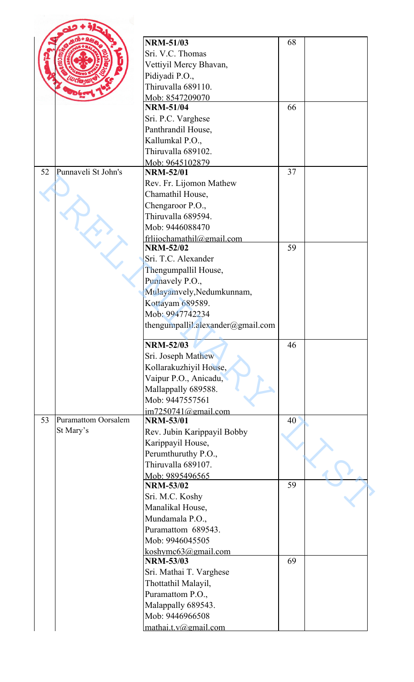|    |                            | <b>NRM-51/03</b>                         | 68 |  |
|----|----------------------------|------------------------------------------|----|--|
|    |                            | Sri. V.C. Thomas                         |    |  |
|    |                            | Vettiyil Mercy Bhavan,                   |    |  |
|    |                            | Pidiyadi P.O.,                           |    |  |
|    |                            | Thiruvalla 689110.                       |    |  |
|    |                            | Mob: 8547209070                          |    |  |
|    |                            | <b>NRM-51/04</b>                         | 66 |  |
|    |                            | Sri. P.C. Varghese                       |    |  |
|    |                            |                                          |    |  |
|    |                            | Panthrandil House,                       |    |  |
|    |                            | Kallumkal P.O.,                          |    |  |
|    |                            | Thiruvalla 689102.                       |    |  |
| 52 |                            | Mob: 9645102879                          |    |  |
|    | Punnaveli St John's        | <b>NRM-52/01</b>                         | 37 |  |
|    |                            | Rev. Fr. Lijomon Mathew                  |    |  |
|    |                            | Chamathil House,                         |    |  |
|    |                            | Chengaroor P.O.,                         |    |  |
|    |                            | Thiruvalla 689594.                       |    |  |
|    |                            | Mob: 9446088470                          |    |  |
|    |                            | frlijochamathil@gmail.com                |    |  |
|    |                            | <b>NRM-52/02</b>                         | 59 |  |
|    |                            | Sri. T.C. Alexander                      |    |  |
|    |                            | Thengumpallil House,                     |    |  |
|    |                            | Punnavely P.O.,                          |    |  |
|    |                            | Mulayamvely, Nedumkunnam,                |    |  |
|    |                            | Kottayam 689589.                         |    |  |
|    |                            | Mob: 9947742234                          |    |  |
|    |                            | thengumpallil.alexander@gmail.com        |    |  |
|    |                            |                                          |    |  |
|    |                            | <b>NRM-52/03</b>                         | 46 |  |
|    |                            | Sri. Joseph Mathew                       |    |  |
|    |                            | Kollarakuzhiyil House,                   |    |  |
|    |                            | Vaipur P.O., Anicadu,                    |    |  |
|    |                            | Mallappally 689588.                      |    |  |
|    |                            | Mob: 9447557561                          |    |  |
|    |                            | im7250741@gmail.com                      |    |  |
| 53 | <b>Puramattom Oorsalem</b> | <b>NRM-53/01</b>                         | 40 |  |
|    | St Mary's                  | Rev. Jubin Karippayil Bobby              |    |  |
|    |                            |                                          |    |  |
|    |                            | Karippayil House,<br>Perumthuruthy P.O., |    |  |
|    |                            |                                          |    |  |
|    |                            | Thiruvalla 689107.                       |    |  |
|    |                            | Mob: 9895496565                          |    |  |
|    |                            | <b>NRM-53/02</b>                         | 59 |  |
|    |                            | Sri. M.C. Koshy                          |    |  |
|    |                            | Manalikal House,                         |    |  |
|    |                            | Mundamala P.O.,                          |    |  |
|    |                            | Puramattom 689543.                       |    |  |
|    |                            | Mob: 9946045505                          |    |  |
|    |                            | koshymc63@gmail.com                      |    |  |
|    |                            | <b>NRM-53/03</b>                         | 69 |  |
|    |                            | Sri. Mathai T. Varghese                  |    |  |
|    |                            | Thottathil Malayil,                      |    |  |
|    |                            | Puramattom P.O.,                         |    |  |
|    |                            | Malappally 689543.                       |    |  |
|    |                            | Mob: 9446966508                          |    |  |
|    |                            | mathai.t.v@gmail.com                     |    |  |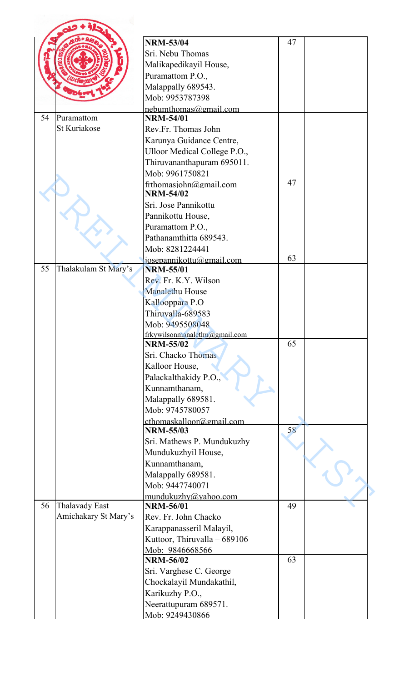|    |                                        | <b>NRM-53/04</b>                                 | 47 |  |
|----|----------------------------------------|--------------------------------------------------|----|--|
|    |                                        | Sri. Nebu Thomas                                 |    |  |
|    |                                        | Malikapedikayil House,                           |    |  |
|    |                                        | Puramattom P.O.,                                 |    |  |
|    |                                        | Malappally 689543.                               |    |  |
|    |                                        | Mob: 9953787398                                  |    |  |
|    |                                        | nebumthomas@gmail.com                            |    |  |
| 54 | Puramattom                             | <b>NRM-54/01</b>                                 |    |  |
|    | <b>St Kuriakose</b>                    | Rev.Fr. Thomas John                              |    |  |
|    |                                        | Karunya Guidance Centre,                         |    |  |
|    |                                        | Ulloor Medical College P.O.,                     |    |  |
|    |                                        | Thiruvananthapuram 695011.                       |    |  |
|    |                                        | Mob: 9961750821                                  |    |  |
|    |                                        | frthomasjohn@gmail.com                           | 47 |  |
|    |                                        | <b>NRM-54/02</b>                                 |    |  |
|    |                                        | Sri. Jose Pannikottu                             |    |  |
|    |                                        | Pannikottu House,                                |    |  |
|    |                                        | Puramattom P.O.,                                 |    |  |
|    |                                        | Pathanamthitta 689543.                           |    |  |
|    |                                        | Mob: 8281224441                                  |    |  |
| 55 |                                        | josepannikottu@gmail.com                         | 63 |  |
|    | Thalakulam St Mary's                   | <b>NRM-55/01</b><br>Rev. Fr. K.Y. Wilson         |    |  |
|    |                                        |                                                  |    |  |
|    |                                        | <b>Manalethu House</b>                           |    |  |
|    |                                        | Kallooppara P.O<br>Thiruvalla-689583             |    |  |
|    |                                        | Mob: 9495508048                                  |    |  |
|    |                                        | frkywilsonmanalethu@gmail.com                    |    |  |
|    |                                        | <b>NRM-55/02</b>                                 | 65 |  |
|    |                                        | Sri. Chacko Thomas                               |    |  |
|    |                                        | Kalloor House,                                   |    |  |
|    |                                        | Palackalthakidy P.O.,                            |    |  |
|    |                                        | Kunnamthanam,                                    |    |  |
|    |                                        | Malappally 689581.                               |    |  |
|    |                                        | Mob: 9745780057                                  |    |  |
|    |                                        | cthomaskalloor@gmail.com                         |    |  |
|    |                                        | <b>NRM-55/03</b>                                 | 58 |  |
|    |                                        | Sri. Mathews P. Mundukuzhy                       |    |  |
|    |                                        | Mundukuzhyil House,                              |    |  |
|    |                                        | Kunnamthanam,                                    |    |  |
|    |                                        | Malappally 689581.                               |    |  |
|    |                                        | Mob: 9447740071                                  |    |  |
| 56 |                                        | mundukuzhy@yahoo.com<br><b>NRM-56/01</b>         | 49 |  |
|    | Thalavady East<br>Amichakary St Mary's |                                                  |    |  |
|    |                                        | Rev. Fr. John Chacko<br>Karappanasseril Malayil, |    |  |
|    |                                        | Kuttoor, Thiruvalla - 689106                     |    |  |
|    |                                        | Mob: 9846668566                                  |    |  |
|    |                                        | <b>NRM-56/02</b>                                 | 63 |  |
|    |                                        | Sri. Varghese C. George                          |    |  |
|    |                                        | Chockalayil Mundakathil,                         |    |  |
|    |                                        | Karikuzhy P.O.,                                  |    |  |
|    |                                        | Neerattupuram 689571.                            |    |  |
|    |                                        | Mob: 9249430866                                  |    |  |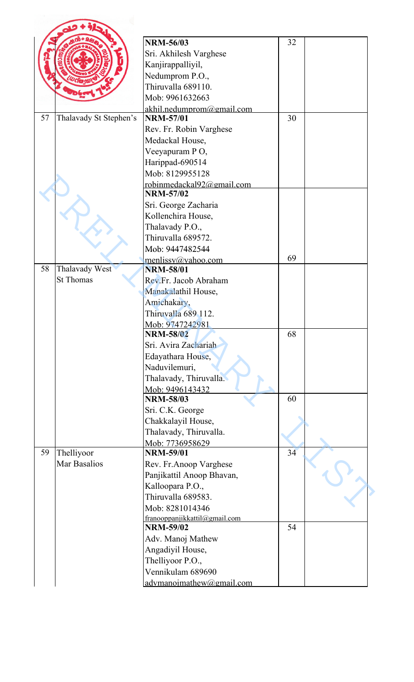|    |                        | <b>NRM-56/03</b>              | 32 |  |
|----|------------------------|-------------------------------|----|--|
|    |                        | Sri. Akhilesh Varghese        |    |  |
|    |                        | Kanjirappalliyil,             |    |  |
|    |                        | Nedumprom P.O.,               |    |  |
|    |                        | Thiruvalla 689110.            |    |  |
|    |                        | Mob: 9961632663               |    |  |
|    |                        | akhil.nedumprom@gmail.com     |    |  |
| 57 | Thalavady St Stephen's | <b>NRM-57/01</b>              | 30 |  |
|    |                        | Rev. Fr. Robin Varghese       |    |  |
|    |                        | Medackal House,               |    |  |
|    |                        | Veeyapuram PO,                |    |  |
|    |                        | Harippad-690514               |    |  |
|    |                        | Mob: 8129955128               |    |  |
|    |                        | robinmedackal92@gmail.com     |    |  |
|    |                        | <b>NRM-57/02</b>              |    |  |
|    |                        | Sri. George Zacharia          |    |  |
|    |                        | Kollenchira House,            |    |  |
|    |                        | Thalavady P.O.,               |    |  |
|    |                        | Thiruvalla 689572.            |    |  |
|    |                        | Mob: 9447482544               |    |  |
|    |                        | menlissy@yahoo.com            | 69 |  |
| 58 | Thalavady West         | <b>NRM-58/01</b>              |    |  |
|    | <b>St Thomas</b>       | Rev.Fr. Jacob Abraham         |    |  |
|    |                        | Manakalathil House,           |    |  |
|    |                        | Amichakary,                   |    |  |
|    |                        | Thiruvalla 689 112.           |    |  |
|    |                        | Mob: 9747242981               |    |  |
|    |                        | <b>NRM-58/02</b>              | 68 |  |
|    |                        | Sri. Avira Zachariah          |    |  |
|    |                        | Edayathara House,             |    |  |
|    |                        | Naduvilemuri,                 |    |  |
|    |                        | Thalavady, Thiruvalla.        |    |  |
|    |                        | Mob: 9496143432               |    |  |
|    |                        | <b>NRM-58/03</b>              | 60 |  |
|    |                        | Sri. C.K. George              |    |  |
|    |                        | Chakkalayil House,            |    |  |
|    |                        | Thalavady, Thiruvalla.        |    |  |
|    |                        | Mob: 7736958629               |    |  |
| 59 | Thelliyoor             | <b>NRM-59/01</b>              | 34 |  |
|    | <b>Mar Basalios</b>    | Rev. Fr.Anoop Varghese        |    |  |
|    |                        | Panjikattil Anoop Bhavan,     |    |  |
|    |                        | Kalloopara P.O.,              |    |  |
|    |                        | Thiruvalla 689583.            |    |  |
|    |                        | Mob: 8281014346               |    |  |
|    |                        | franooppanjikkattil@gmail.com |    |  |
|    |                        | <b>NRM-59/02</b>              | 54 |  |
|    |                        | Adv. Manoj Mathew             |    |  |
|    |                        | Angadiyil House,              |    |  |
|    |                        | Thelliyoor P.O.,              |    |  |
|    |                        | Vennikulam 689690             |    |  |
|    |                        | advmanoimathew@gmail.com      |    |  |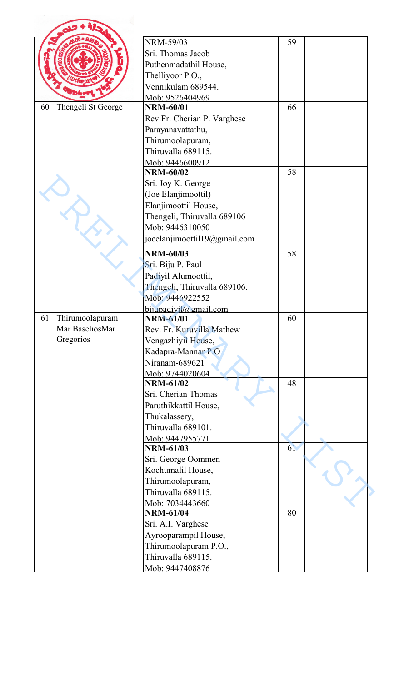|    |                    | NRM-59/03                                      | 59 |
|----|--------------------|------------------------------------------------|----|
|    |                    | Sri. Thomas Jacob                              |    |
|    |                    | Puthenmadathil House,                          |    |
|    |                    | Thelliyoor P.O.,                               |    |
|    |                    | Vennikulam 689544.                             |    |
|    |                    | Mob: 9526404969                                |    |
| 60 | Thengeli St George | <b>NRM-60/01</b>                               | 66 |
|    |                    | Rev.Fr. Cherian P. Varghese                    |    |
|    |                    | Parayanavattathu,                              |    |
|    |                    | Thirumoolapuram,                               |    |
|    |                    | Thiruvalla 689115.                             |    |
|    |                    | Mob: 9446600912<br><b>NRM-60/02</b>            | 58 |
|    |                    |                                                |    |
|    |                    | Sri. Joy K. George                             |    |
|    |                    | (Joe Elanjimoottil)<br>Elanjimoottil House,    |    |
|    |                    |                                                |    |
|    |                    | Thengeli, Thiruvalla 689106<br>Mob: 9446310050 |    |
|    |                    |                                                |    |
|    |                    | joeelanjimoottil19@gmail.com                   |    |
|    |                    | <b>NRM-60/03</b>                               | 58 |
|    |                    | Sri. Biju P. Paul                              |    |
|    |                    | Padiyil Alumoottil,                            |    |
|    |                    | Thengeli, Thiruvalla 689106.                   |    |
|    |                    | Mob: 9446922552                                |    |
|    |                    | $b$ ijupadiyil@gmail.com                       |    |
| 61 | Thirumoolapuram    | <b>NRM-61/01</b>                               | 60 |
|    | Mar BaseliosMar    | Rev. Fr. Kuruvilla Mathew                      |    |
|    | Gregorios          | Vengazhiyil House,                             |    |
|    |                    | Kadapra-Mannar P.O                             |    |
|    |                    | Niranam-689621                                 |    |
|    |                    | Mob: 9744020604<br><b>NRM-61/02</b>            | 48 |
|    |                    | Sri. Cherian Thomas                            |    |
|    |                    | Paruthikkattil House,                          |    |
|    |                    | Thukalassery,                                  |    |
|    |                    | Thiruvalla 689101.                             |    |
|    |                    | Mob: 9447955771                                |    |
|    |                    | <b>NRM-61/03</b>                               | 61 |
|    |                    | Sri. George Oommen                             |    |
|    |                    | Kochumalil House,                              |    |
|    |                    | Thirumoolapuram,                               |    |
|    |                    | Thiruvalla 689115.                             |    |
|    |                    | Mob: 7034443660                                |    |
|    |                    | <b>NRM-61/04</b>                               | 80 |
|    |                    | Sri. A.I. Varghese                             |    |
|    |                    | Ayrooparampil House,                           |    |
|    |                    | Thirumoolapuram P.O.,                          |    |
|    |                    | Thiruvalla 689115.                             |    |
|    |                    | Mob: 9447408876                                |    |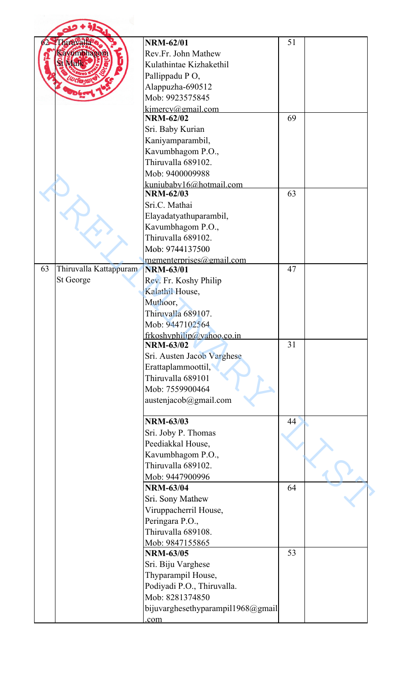|    | bituvalla              | <b>NRM-62/01</b>                                     | 51 |  |
|----|------------------------|------------------------------------------------------|----|--|
|    | <b>Eavumbhagota</b>    | Rev.Fr. John Mathew                                  |    |  |
|    |                        | Kulathintae Kizhakethil                              |    |  |
|    |                        | Pallippadu PO,                                       |    |  |
|    |                        |                                                      |    |  |
|    |                        | Alappuzha-690512<br>Mob: 9923575845                  |    |  |
|    |                        |                                                      |    |  |
|    |                        | $k$ imercy@gmail.com<br><b>NRM-62/02</b>             | 69 |  |
|    |                        | Sri. Baby Kurian                                     |    |  |
|    |                        | Kaniyamparambil,                                     |    |  |
|    |                        | Kavumbhagom P.O.,                                    |    |  |
|    |                        | Thiruvalla 689102.                                   |    |  |
|    |                        | Mob: 9400009988                                      |    |  |
|    |                        | kunjubaby16@hotmail.com                              |    |  |
|    |                        | <b>NRM-62/03</b>                                     | 63 |  |
|    |                        | Sri.C. Mathai                                        |    |  |
|    |                        | Elayadatyathuparambil,                               |    |  |
|    |                        | Kavumbhagom P.O.,                                    |    |  |
|    |                        | Thiruvalla 689102.                                   |    |  |
|    |                        | Mob: 9744137500                                      |    |  |
|    |                        | mgmenterprises@gmail.com                             |    |  |
| 63 | Thiruvalla Kattappuram | <b>NRM-63/01</b>                                     | 47 |  |
|    | St George              | Rev. Fr. Koshy Philip                                |    |  |
|    |                        | Kalathil House,                                      |    |  |
|    |                        | Muthoor,                                             |    |  |
|    |                        | Thiruvalla 689107                                    |    |  |
|    |                        | Mob: 9447102564                                      |    |  |
|    |                        | frkoshyphilip@yahoo.co.in                            |    |  |
|    |                        | <b>NRM-63/02</b>                                     | 31 |  |
|    |                        | Sri. Austen Jacob Varghese                           |    |  |
|    |                        | Erattaplammoottil,                                   |    |  |
|    |                        | Thiruvalla 689101                                    |    |  |
|    |                        | Mob: 7559900464                                      |    |  |
|    |                        | austenjacob@gmail.com                                |    |  |
|    |                        |                                                      |    |  |
|    |                        | <b>NRM-63/03</b>                                     | 44 |  |
|    |                        | Sri. Joby P. Thomas                                  |    |  |
|    |                        | Peediakkal House,                                    |    |  |
|    |                        | Kavumbhagom P.O.,                                    |    |  |
|    |                        | Thiruvalla 689102.                                   |    |  |
|    |                        | Mob: 9447900996                                      |    |  |
|    |                        | <b>NRM-63/04</b>                                     | 64 |  |
|    |                        | Sri. Sony Mathew                                     |    |  |
|    |                        |                                                      |    |  |
|    |                        |                                                      |    |  |
|    |                        | Viruppacherril House,                                |    |  |
|    |                        | Peringara P.O.,                                      |    |  |
|    |                        | Thiruvalla 689108.                                   |    |  |
|    |                        | Mob: 9847155865                                      |    |  |
|    |                        | <b>NRM-63/05</b>                                     | 53 |  |
|    |                        | Sri. Biju Varghese                                   |    |  |
|    |                        | Thyparampil House,                                   |    |  |
|    |                        | Podiyadi P.O., Thiruvalla.                           |    |  |
|    |                        | Mob: 8281374850<br>bijuvarghesethyparampil1968@gmail |    |  |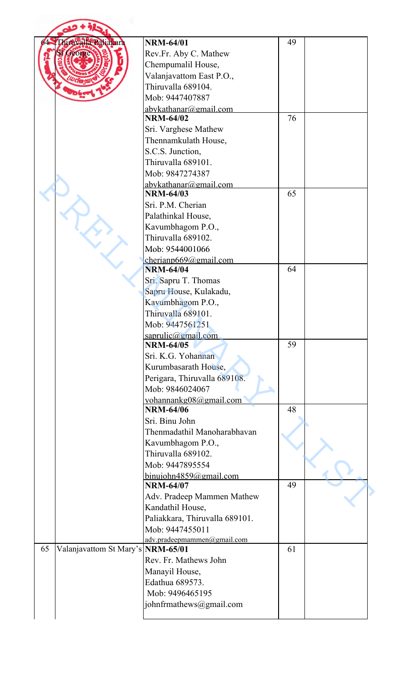|    | hiruvalla Pahakara                | <b>NRM-64/01</b>                           | 49 |  |
|----|-----------------------------------|--------------------------------------------|----|--|
|    | acorg                             | Rev.Fr. Aby C. Mathew                      |    |  |
|    |                                   | Chempumalil House,                         |    |  |
|    |                                   | Valanjavattom East P.O.,                   |    |  |
|    |                                   | Thiruvalla 689104.                         |    |  |
|    |                                   | Mob: 9447407887                            |    |  |
|    |                                   | abykathanar@gmail.com                      |    |  |
|    |                                   | <b>NRM-64/02</b>                           | 76 |  |
|    |                                   | Sri. Varghese Mathew                       |    |  |
|    |                                   | Thennamkulath House,                       |    |  |
|    |                                   | S.C.S. Junction,                           |    |  |
|    |                                   | Thiruvalla 689101.                         |    |  |
|    |                                   | Mob: 9847274387                            |    |  |
|    |                                   |                                            |    |  |
|    |                                   | abykathanar@gmail.com<br><b>NRM-64/03</b>  | 65 |  |
|    |                                   | Sri. P.M. Cherian                          |    |  |
|    |                                   | Palathinkal House,                         |    |  |
|    |                                   | Kavumbhagom P.O.,                          |    |  |
|    |                                   | Thiruvalla 689102.                         |    |  |
|    |                                   | Mob: 9544001066                            |    |  |
|    |                                   |                                            |    |  |
|    |                                   | cherianp669@gmail.com<br><b>NRM-64/04</b>  | 64 |  |
|    |                                   | Sri. Sapru T. Thomas                       |    |  |
|    |                                   | Sapru House, Kulakadu,                     |    |  |
|    |                                   | Kavumbhagom P.O.,                          |    |  |
|    |                                   | Thiruvalla 689101                          |    |  |
|    |                                   | Mob: 9447561251                            |    |  |
|    |                                   |                                            |    |  |
|    |                                   | saprulic@gmail.com<br><b>NRM-64/05</b>     | 59 |  |
|    |                                   | Sri. K.G. Yohannan                         |    |  |
|    |                                   | Kurumbasarath House,                       |    |  |
|    |                                   | Perigara, Thiruvalla 689108.               |    |  |
|    |                                   | Mob: 9846024067                            |    |  |
|    |                                   |                                            |    |  |
|    |                                   | yohannankg08@gmail.com<br><b>NRM-64/06</b> | 48 |  |
|    |                                   | Sri. Binu John                             |    |  |
|    |                                   | Thenmadathil Manoharabhavan                |    |  |
|    |                                   |                                            |    |  |
|    |                                   | Kavumbhagom P.O.,<br>Thiruvalla 689102.    |    |  |
|    |                                   | Mob: 9447895554                            |    |  |
|    |                                   |                                            |    |  |
|    |                                   | binuiohn4859@gmail.com<br><b>NRM-64/07</b> | 49 |  |
|    |                                   |                                            |    |  |
|    |                                   | Adv. Pradeep Mammen Mathew                 |    |  |
|    |                                   | Kandathil House,                           |    |  |
|    |                                   | Paliakkara, Thiruvalla 689101.             |    |  |
|    |                                   | Mob: 9447455011                            |    |  |
| 65 | Valanjavattom St Mary's NRM-65/01 | adv.pradeepmammen@gmail.com                | 61 |  |
|    |                                   | Rev. Fr. Mathews John                      |    |  |
|    |                                   |                                            |    |  |
|    |                                   | Manayil House,<br>Edathua 689573.          |    |  |
|    |                                   | Mob: 9496465195                            |    |  |
|    |                                   |                                            |    |  |
|    |                                   | johnfrmathews@gmail.com                    |    |  |
|    |                                   |                                            |    |  |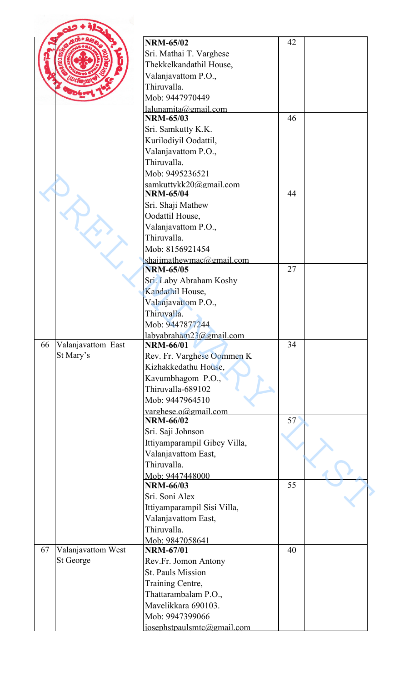|    |                    | <b>NRM-65/02</b>             | 42 |  |
|----|--------------------|------------------------------|----|--|
|    |                    | Sri. Mathai T. Varghese      |    |  |
|    |                    | Thekkelkandathil House,      |    |  |
|    |                    | Valanjavattom P.O.,          |    |  |
|    |                    | Thiruvalla.                  |    |  |
|    |                    | Mob: 9447970449              |    |  |
|    |                    | $l$ alunamita@gmail.com      |    |  |
|    |                    | <b>NRM-65/03</b>             | 46 |  |
|    |                    | Sri. Samkutty K.K.           |    |  |
|    |                    | Kurilodiyil Oodattil,        |    |  |
|    |                    | Valanjavattom P.O.,          |    |  |
|    |                    | Thiruvalla.                  |    |  |
|    |                    | Mob: 9495236521              |    |  |
|    |                    | samkuttykk20@gmail.com       |    |  |
|    |                    | <b>NRM-65/04</b>             | 44 |  |
|    |                    | Sri. Shaji Mathew            |    |  |
|    |                    | Oodattil House,              |    |  |
|    |                    | Valanjavattom P.O.,          |    |  |
|    |                    | Thiruvalla.                  |    |  |
|    |                    | Mob: 8156921454              |    |  |
|    |                    | shajimathewmac@gmail.com     |    |  |
|    |                    | <b>NRM-65/05</b>             | 27 |  |
|    |                    | Sri. Laby Abraham Koshy      |    |  |
|    |                    | Kandathil House,             |    |  |
|    |                    | Valanjavattom P.O.,          |    |  |
|    |                    | Thiruvalla.                  |    |  |
|    |                    | Mob: 9447877244              |    |  |
|    |                    | labvabraham23@gmail.com      |    |  |
| 66 | Valanjavattom East | <b>NRM-66/01</b>             | 34 |  |
|    | St Mary's          | Rev. Fr. Varghese Oommen K   |    |  |
|    |                    | Kizhakkedathu House,         |    |  |
|    |                    | Kavumbhagom P.O.,            |    |  |
|    |                    | Thiruvalla-689102            |    |  |
|    |                    | Mob: 9447964510              |    |  |
|    |                    | varghese.o@gmail.com         |    |  |
|    |                    | <b>NRM-66/02</b>             | 57 |  |
|    |                    | Sri. Saji Johnson            |    |  |
|    |                    | Ittiyamparampil Gibey Villa, |    |  |
|    |                    | Valanjavattom East,          |    |  |
|    |                    | Thiruvalla.                  |    |  |
|    |                    | Mob: 9447448000              |    |  |
|    |                    | <b>NRM-66/03</b>             | 55 |  |
|    |                    | Sri. Soni Alex               |    |  |
|    |                    | Ittiyamparampil Sisi Villa,  |    |  |
|    |                    | Valanjavattom East,          |    |  |
|    |                    | Thiruvalla.                  |    |  |
|    |                    | Mob: 9847058641              |    |  |
| 67 | Valanjavattom West | <b>NRM-67/01</b>             | 40 |  |
|    | St George          | Rev.Fr. Jomon Antony         |    |  |
|    |                    | <b>St. Pauls Mission</b>     |    |  |
|    |                    | Training Centre,             |    |  |
|    |                    | Thattarambalam P.O.,         |    |  |
|    |                    | Mavelikkara 690103.          |    |  |
|    |                    | Mob: 9947399066              |    |  |
|    |                    | iosephstpaulsmtc@gmail.com   |    |  |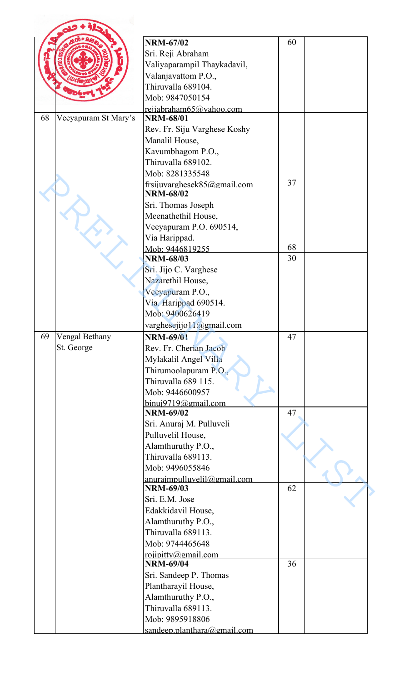|    |                      | <b>NRM-67/02</b>                        | 60 |  |
|----|----------------------|-----------------------------------------|----|--|
|    |                      | Sri. Reji Abraham                       |    |  |
|    |                      | Valiyaparampil Thaykadavil,             |    |  |
|    |                      | Valanjavattom P.O.,                     |    |  |
|    |                      | Thiruvalla 689104.                      |    |  |
|    |                      | Mob: 9847050154                         |    |  |
|    |                      | rejiabraham65@yahoo.com                 |    |  |
| 68 | Veeyapuram St Mary's | <b>NRM-68/01</b>                        |    |  |
|    |                      | Rev. Fr. Siju Varghese Koshy            |    |  |
|    |                      | Manalil House,                          |    |  |
|    |                      | Kavumbhagom P.O.,                       |    |  |
|    |                      | Thiruvalla 689102.                      |    |  |
|    |                      | Mob: 8281335548                         |    |  |
|    |                      | frsijuvarghesek85@gmail.com             | 37 |  |
|    |                      | <b>NRM-68/02</b>                        |    |  |
|    |                      | Sri. Thomas Joseph                      |    |  |
|    |                      | Meenathethil House,                     |    |  |
|    |                      | Veeyapuram P.O. 690514,                 |    |  |
|    |                      | Via Harippad.                           |    |  |
|    |                      | Mob: 9446819255                         | 68 |  |
|    |                      | <b>NRM-68/03</b>                        | 30 |  |
|    |                      | Sri. Jijo C. Varghese                   |    |  |
|    |                      | Nazarethil House,                       |    |  |
|    |                      | Veeyapuram P.O.,                        |    |  |
|    |                      | Via. Harippad 690514.                   |    |  |
|    |                      | Mob: 9400626419                         |    |  |
|    |                      | varghesejijo11@gmail.com                |    |  |
| 69 | Vengal Bethany       | <b>NRM-69/01</b>                        | 47 |  |
|    | St. George           | Rev. Fr. Cherian Jacob                  |    |  |
|    |                      | Mylakalil Angel Villa                   |    |  |
|    |                      | Thirumoolapuram P.O.,                   |    |  |
|    |                      | Thiruvalla 689 115.                     |    |  |
|    |                      | Mob: 9446600957                         |    |  |
|    |                      | binui9719@gmail.com                     |    |  |
|    |                      | <b>NRM-69/02</b>                        | 47 |  |
|    |                      | Sri. Anuraj M. Pulluveli                |    |  |
|    |                      | Pulluvelil House,                       |    |  |
|    |                      | Alamthuruthy P.O.,                      |    |  |
|    |                      | Thiruvalla 689113.                      |    |  |
|    |                      | Mob: 9496055846                         |    |  |
|    |                      | anuraimpulluvelil@gmail.com             |    |  |
|    |                      | <b>NRM-69/03</b>                        | 62 |  |
|    |                      | Sri. E.M. Jose                          |    |  |
|    |                      | Edakkidavil House,                      |    |  |
|    |                      | Alamthuruthy P.O.,                      |    |  |
|    |                      | Thiruvalla 689113.                      |    |  |
|    |                      | Mob: 9744465648                         |    |  |
|    |                      | roiipitty@gmail.com<br><b>NRM-69/04</b> | 36 |  |
|    |                      | Sri. Sandeep P. Thomas                  |    |  |
|    |                      | Plantharayil House,                     |    |  |
|    |                      | Alamthuruthy P.O.,                      |    |  |
|    |                      | Thiruvalla 689113.                      |    |  |
|    |                      | Mob: 9895918806                         |    |  |
|    |                      | sandeep.planthara@gmail.com             |    |  |
|    |                      |                                         |    |  |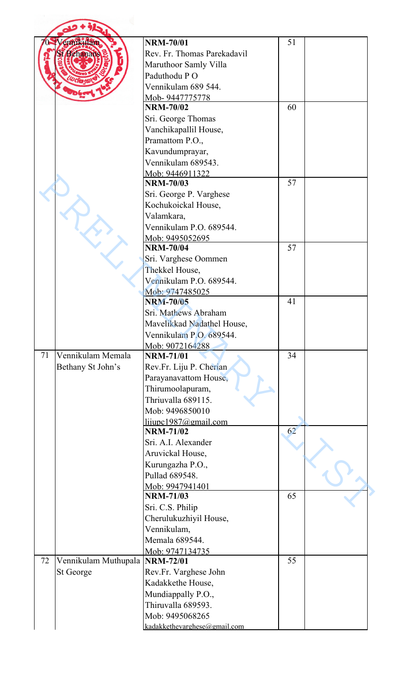|    | mkuan                          | <b>NRM-70/01</b>             | 51 |  |
|----|--------------------------------|------------------------------|----|--|
|    | Behanar                        | Rev. Fr. Thomas Parekadavil  |    |  |
|    |                                | Maruthoor Samly Villa        |    |  |
|    |                                | Paduthodu PO                 |    |  |
|    |                                |                              |    |  |
|    |                                | Vennikulam 689 544.          |    |  |
|    |                                | Mob-9447775778               |    |  |
|    |                                | <b>NRM-70/02</b>             | 60 |  |
|    |                                | Sri. George Thomas           |    |  |
|    |                                | Vanchikapallil House,        |    |  |
|    |                                | Pramattom P.O.,              |    |  |
|    |                                | Kavundumprayar,              |    |  |
|    |                                | Vennikulam 689543.           |    |  |
|    |                                | Mob: 9446911322              |    |  |
|    |                                | <b>NRM-70/03</b>             | 57 |  |
|    |                                | Sri. George P. Varghese      |    |  |
|    |                                | Kochukoickal House,          |    |  |
|    |                                | Valamkara,                   |    |  |
|    |                                | Vennikulam P.O. 689544.      |    |  |
|    |                                | Mob: 9495052695              |    |  |
|    |                                | <b>NRM-70/04</b>             | 57 |  |
|    |                                | Sri. Varghese Oommen         |    |  |
|    |                                | Thekkel House,               |    |  |
|    |                                | Vennikulam P.O. 689544.      |    |  |
|    |                                | Mob: 9747485025              |    |  |
|    |                                | <b>NRM-70/05</b>             | 41 |  |
|    |                                |                              |    |  |
|    |                                | Sri. Mathews Abraham         |    |  |
|    |                                | Mavelikkad Nadathel House,   |    |  |
|    |                                | Vennikulam P.O. 689544.      |    |  |
|    |                                | Mob: 9072164288              |    |  |
| 71 | Vennikulam Memala              | <b>NRM-71/01</b>             | 34 |  |
|    | Bethany St John's              | Rev.Fr. Liju P. Cherian      |    |  |
|    |                                | Parayanavattom House,        |    |  |
|    |                                | Thirumoolapuram,             |    |  |
|    |                                | Thriuvalla 689115.           |    |  |
|    |                                | Mob: 9496850010              |    |  |
|    |                                | lijupc1987@gmail.com         |    |  |
|    |                                | <b>NRM-71/02</b>             | 62 |  |
|    |                                | Sri. A.I. Alexander          |    |  |
|    |                                | Aruvickal House,             |    |  |
|    |                                | Kurungazha P.O.,             |    |  |
|    |                                | Pullad 689548.               |    |  |
|    |                                | Mob: 9947941401              |    |  |
|    |                                | <b>NRM-71/03</b>             | 65 |  |
|    |                                | Sri. C.S. Philip             |    |  |
|    |                                | Cherulukuzhiyil House,       |    |  |
|    |                                | Vennikulam,                  |    |  |
|    |                                |                              |    |  |
|    |                                | Memala 689544.               |    |  |
|    |                                | Mob: 9747134735              |    |  |
| 72 | Vennikulam Muthupala NRM-72/01 |                              | 55 |  |
|    | St George                      | Rev.Fr. Varghese John        |    |  |
|    |                                | Kadakkethe House,            |    |  |
|    |                                | Mundiappally P.O.,           |    |  |
|    |                                | Thiruvalla 689593.           |    |  |
|    |                                | Mob: 9495068265              |    |  |
|    |                                | kadakkethevarghese@gmail.com |    |  |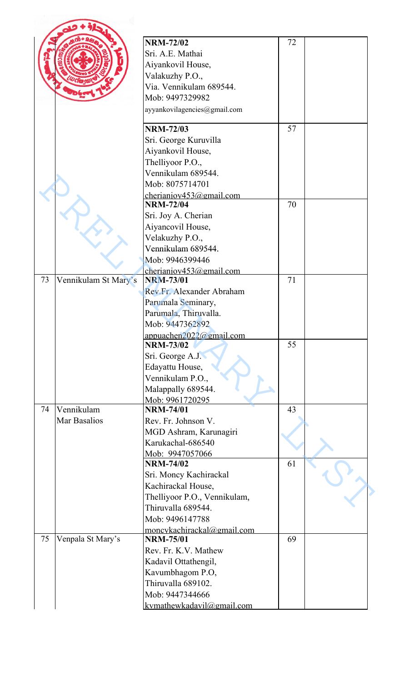|    |                      | <b>NRM-72/02</b>             | 72 |  |
|----|----------------------|------------------------------|----|--|
|    |                      | Sri. A.E. Mathai             |    |  |
|    |                      | Aiyankovil House,            |    |  |
|    |                      | Valakuzhy P.O.,              |    |  |
|    |                      | Via. Vennikulam 689544.      |    |  |
|    |                      | Mob: 9497329982              |    |  |
|    |                      |                              |    |  |
|    |                      | ayyankovilagencies@gmail.com |    |  |
|    |                      | <b>NRM-72/03</b>             | 57 |  |
|    |                      | Sri. George Kuruvilla        |    |  |
|    |                      | Aiyankovil House,            |    |  |
|    |                      | Thelliyoor P.O.,             |    |  |
|    |                      | Vennikulam 689544.           |    |  |
|    |                      | Mob: 8075714701              |    |  |
|    |                      | cherianiov $453$ @gmail.com  |    |  |
|    |                      | <b>NRM-72/04</b>             | 70 |  |
|    |                      | Sri. Joy A. Cherian          |    |  |
|    |                      | Aiyancovil House,            |    |  |
|    |                      | Velakuzhy P.O.,              |    |  |
|    |                      | Vennikulam 689544.           |    |  |
|    |                      | Mob: 9946399446              |    |  |
|    |                      | cherianiov453@gmail.com      |    |  |
| 73 | Vennikulam St Mary's | <b>NRM-73/01</b>             | 71 |  |
|    |                      | Rev.Fr. Alexander Abraham    |    |  |
|    |                      | Parumala Seminary,           |    |  |
|    |                      | Parumala, Thiruvalla.        |    |  |
|    |                      | Mob: 9447362892              |    |  |
|    |                      | appuachen $2022$ @gmail.com  |    |  |
|    |                      | <b>NRM-73/02</b>             | 55 |  |
|    |                      | Sri. George A.J.             |    |  |
|    |                      | Edayattu House,              |    |  |
|    |                      | Vennikulam P.O.,             |    |  |
|    |                      | Malappally 689544.           |    |  |
|    |                      | Mob: 9961720295              |    |  |
| 74 | Vennikulam           | <b>NRM-74/01</b>             | 43 |  |
|    | Mar Basalios         | Rev. Fr. Johnson V.          |    |  |
|    |                      | MGD Ashram, Karunagiri       |    |  |
|    |                      | Karukachal-686540            |    |  |
|    |                      | Mob: 9947057066              |    |  |
|    |                      | <b>NRM-74/02</b>             | 61 |  |
|    |                      | Sri. Moncy Kachirackal       |    |  |
|    |                      | Kachirackal House,           |    |  |
|    |                      | Thelliyoor P.O., Vennikulam, |    |  |
|    |                      | Thiruvalla 689544.           |    |  |
|    |                      | Mob: 9496147788              |    |  |
|    |                      | moncykachirackal@gmail.com   |    |  |
| 75 | Venpala St Mary's    | <b>NRM-75/01</b>             | 69 |  |
|    |                      | Rev. Fr. K.V. Mathew         |    |  |
|    |                      | Kadavil Ottathengil,         |    |  |
|    |                      | Kavumbhagom P.O,             |    |  |
|    |                      | Thiruvalla 689102.           |    |  |
|    |                      | Mob: 9447344666              |    |  |
|    |                      | kymathewkadavil@gmail.com    |    |  |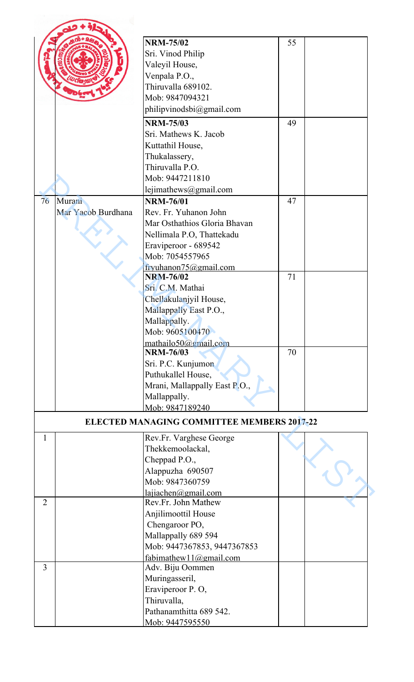|                |                    | <b>NRM-75/02</b>                                  | 55 |  |
|----------------|--------------------|---------------------------------------------------|----|--|
|                |                    | Sri. Vinod Philip                                 |    |  |
|                |                    | Valeyil House,                                    |    |  |
|                |                    | Venpala P.O.,                                     |    |  |
|                |                    | Thiruvalla 689102.                                |    |  |
|                |                    | Mob: 9847094321                                   |    |  |
|                |                    | philipvinodsbi@gmail.com                          |    |  |
|                |                    |                                                   |    |  |
|                |                    | <b>NRM-75/03</b>                                  | 49 |  |
|                |                    | Sri. Mathews K. Jacob                             |    |  |
|                |                    | Kuttathil House,                                  |    |  |
|                |                    | Thukalassery,                                     |    |  |
|                |                    | Thiruvalla P.O.                                   |    |  |
|                |                    | Mob: 9447211810                                   |    |  |
|                |                    | lejimathews@gmail.com                             |    |  |
| 76             | Murani             | <b>NRM-76/01</b>                                  | 47 |  |
|                | Mar Yacob Burdhana | Rev. Fr. Yuhanon John                             |    |  |
|                |                    | Mar Osthathios Gloria Bhavan                      |    |  |
|                |                    | Nellimala P.O, Thattekadu                         |    |  |
|                |                    | Eraviperoor - 689542                              |    |  |
|                |                    | Mob: 7054557965                                   |    |  |
|                |                    | fryuhanon75@gmail.com                             |    |  |
|                |                    | <b>NRM-76/02</b>                                  | 71 |  |
|                |                    | Sri. C.M. Mathai                                  |    |  |
|                |                    | Chellakulanjyil House,                            |    |  |
|                |                    | Mallappally East P.O.,                            |    |  |
|                |                    | Mallappally.                                      |    |  |
|                |                    | Mob: 9605100470                                   |    |  |
|                |                    | mathailo50@gmail.com<br><b>NRM-76/03</b>          | 70 |  |
|                |                    | Sri. P.C. Kunjumon                                |    |  |
|                |                    | Puthukallel House,                                |    |  |
|                |                    | Mrani, Mallappally East P.O.,                     |    |  |
|                |                    | Mallappally.                                      |    |  |
|                |                    | Mob: 9847189240                                   |    |  |
|                |                    | <b>ELECTED MANAGING COMMITTEE MEMBERS 2017-22</b> |    |  |
| $\mathbf{1}$   |                    | Rev.Fr. Varghese George                           |    |  |
|                |                    | Thekkemoolackal,                                  |    |  |
|                |                    | Cheppad P.O.,                                     |    |  |
|                |                    | Alappuzha 690507                                  |    |  |
|                |                    | Mob: 9847360759                                   |    |  |
|                |                    | lajiachen@gmail.com                               |    |  |
| $\overline{2}$ |                    | Rev.Fr. John Mathew                               |    |  |
|                |                    | Anjilimoottil House                               |    |  |
|                |                    | Chengaroor PO,                                    |    |  |
|                |                    | Mallappally 689 594                               |    |  |
|                |                    | Mob: 9447367853, 9447367853                       |    |  |
|                |                    | fabimathew11@gmail.com                            |    |  |
| 3              |                    | Adv. Biju Oommen                                  |    |  |
|                |                    | Muringasseril,                                    |    |  |
|                |                    | Eraviperoor P.O.                                  |    |  |
|                |                    | Thiruvalla,                                       |    |  |
|                |                    | Pathanamthitta 689 542.                           |    |  |
|                |                    | Mob: 9447595550                                   |    |  |